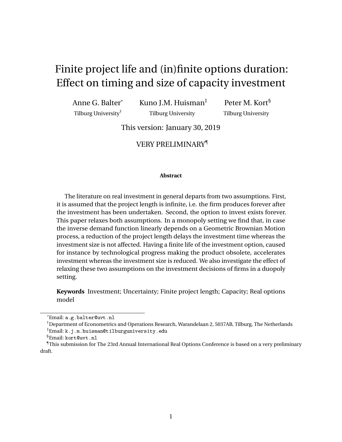# Finite project life and (in)finite options duration: Effect on timing and size of capacity investment

Anne G. Balter\* Tilburg University†

Kuno J.M. Huisman‡ Tilburg University

Peter M. Kort§ Tilburg University

This version: January 30, 2019

## VERY PRELIMINARY¶

#### **Abstract**

The literature on real investment in general departs from two assumptions. First, it is assumed that the project length is infinite, i.e. the firm produces forever after the investment has been undertaken. Second, the option to invest exists forever. This paper relaxes both assumptions. In a monopoly setting we find that, in case the inverse demand function linearly depends on a Geometric Brownian Motion process, a reduction of the project length delays the investment time whereas the investment size is not affected. Having a finite life of the investment option, caused for instance by technological progress making the product obsolete, accelerates investment whereas the investment size is reduced. We also investigate the effect of relaxing these two assumptions on the investment decisions of firms in a duopoly setting.

**Keywords** Investment; Uncertainty; Finite project length; Capacity; Real options model

<sup>\*</sup>Email: a.g.balter@uvt.nl

<sup>†</sup>Department of Econometrics and Operations Research, Warandelaan 2, 5037AB, Tilburg, The Netherlands

<sup>‡</sup>Email: k.j.m.huisman@tilburguniversity.edu

<sup>§</sup>Email: kort@uvt.nl

<sup>¶</sup>This submission for The 23rd Annual International Real Options Conference is based on a very preliminary draft.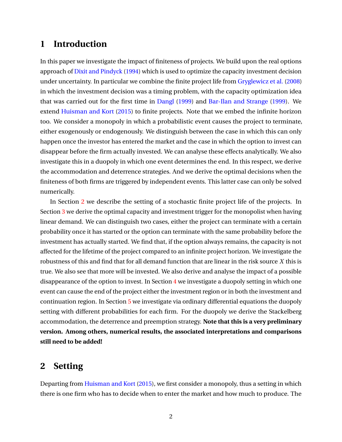# <span id="page-1-1"></span>**1 Introduction**

In this paper we investigate the impact of finiteness of projects. We build upon the real options approach of [Dixit and Pindyck](#page-38-0) [\(1994\)](#page-38-0) which is used to optimize the capacity investment decision under uncertainty. In particular we combine the finite project life from [Gryglewicz et al.](#page-38-1) [\(2008\)](#page-38-1) in which the investment decision was a timing problem, with the capacity optimization idea that was carried out for the first time in [Dangl](#page-38-2) [\(1999\)](#page-38-2) and [Bar-Ilan and Strange](#page-38-3) [\(1999\)](#page-38-3). We extend [Huisman and Kort](#page-38-4) [\(2015\)](#page-38-4) to finite projects. Note that we embed the infinite horizon too. We consider a monopoly in which a probabilistic event causes the project to terminate, either exogenously or endogenously. We distinguish between the case in which this can only happen once the investor has entered the market and the case in which the option to invest can disappear before the firm actually invested. We can analyse these effects analytically. We also investigate this in a duopoly in which one event determines the end. In this respect, we derive the accommodation and deterrence strategies. And we derive the optimal decisions when the finiteness of both firms are triggered by independent events. This latter case can only be solved numerically.

In Section [2](#page-1-0) we describe the setting of a stochastic finite project life of the projects. In Section [3](#page-3-0) we derive the optimal capacity and investment trigger for the monopolist when having linear demand. We can distinguish two cases, either the project can terminate with a certain probability once it has started or the option can terminate with the same probability before the investment has actually started. We find that, if the option always remains, the capacity is not affected for the lifetime of the project compared to an infinite project horizon. We investigate the robustness of this and find that for all demand function that are linear in the risk source *X* this is true. We also see that more will be invested. We also derive and analyse the impact of a possible disappearance of the option to invest. In Section  $4$  we investigate a duopoly setting in which one event can cause the end of the project either the investment region or in both the investment and continuation region. In Section [5](#page-23-0) we investigate via ordinary differential equations the duopoly setting with different probabilities for each firm. For the duopoly we derive the Stackelberg accommodation, the deterrence and preemption strategy. **Note that this is a very preliminary version. Among others, numerical results, the associated interpretations and comparisons still need to be added!**

# <span id="page-1-0"></span>**2 Setting**

Departing from [Huisman and Kort](#page-38-4) [\(2015\)](#page-38-4), we first consider a monopoly, thus a setting in which there is one firm who has to decide when to enter the market and how much to produce. The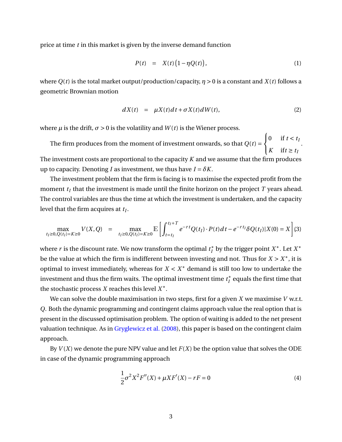<span id="page-2-1"></span>price at time *t* in this market is given by the inverse demand function

$$
P(t) = X(t) \left(1 - \eta Q(t)\right), \tag{1}
$$

where  $Q(t)$  is the total market output/production/capacity,  $\eta > 0$  is a constant and  $X(t)$  follows a geometric Brownian motion

$$
dX(t) = \mu X(t)dt + \sigma X(t)dW(t),
$$
\n(2)

where  $\mu$  is the drift,  $\sigma > 0$  is the volatility and  $W(t)$  is the Wiener process.

The firm produces from the moment of investment onwards, so that  $Q(t)$  =  $\sqrt{ }$ J  $\mathbf{I}$ 0 if  $t < t$ *K* if  $t \geq t$ <sup>*I*</sup> . The investment costs are proportional to the capacity *K* and we assume that the firm produces up to capacity. Denoting *I* as investment, we thus have  $I = \delta K$ .

The investment problem that the firm is facing is to maximise the expected profit from the moment  $t_I$  that the investment is made until the finite horizon on the project  $T$  years ahead. The control variables are thus the time at which the investment is undertaken, and the capacity level that the firm acquires at *t<sup>I</sup>* .

<span id="page-2-0"></span>
$$
\max_{t_I \ge 0, Q(t_I) = K \ge 0} V(X, Q) = \max_{t_I \ge 0, Q(t_I) = K \ge 0} \mathbb{E} \left[ \int_{t = t_I}^{t_I + T} e^{-rt} Q(t_I) \cdot P(t) dt - e^{-rt_I} \delta Q(t_I) |X(0) = X \right] (3)
$$

where  $r$  is the discount rate. We now transform the optimal  $t_I^*$ *I* by the trigger point *X* ∗ . Let *X* ∗ be the value at which the firm is indifferent between investing and not. Thus for  $X > X^*$ , it is optimal to invest immediately, whereas for  $X < X^*$  demand is still too low to undertake the investment and thus the firm waits. The optimal investment time  $t_I^*$  $_I^*$  equals the first time that the stochastic process *X* reaches this level *X* ∗ .

We can solve the double maximisation in two steps, first for a given *X* we maximise *V* w.r.t. *Q*. Both the dynamic programming and contingent claims approach value the real option that is present in the discussed optimisation problem. The option of waiting is added to the net present valuation technique. As in [Gryglewicz et al.](#page-38-1) [\(2008\)](#page-38-1), this paper is based on the contingent claim approach.

By  $V(X)$  we denote the pure NPV value and let  $F(X)$  be the option value that solves the ODE in case of the dynamic programming approach

$$
\frac{1}{2}\sigma^2 X^2 F''(X) + \mu X F'(X) - rF = 0
$$
\n(4)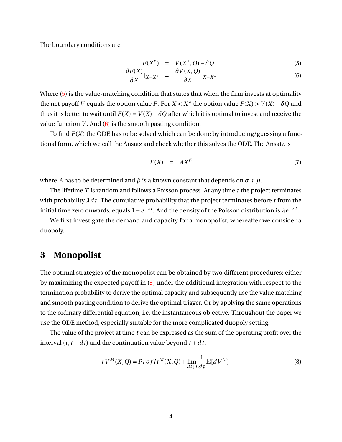The boundary conditions are

<span id="page-3-1"></span>
$$
F(X^*) = V(X^*, Q) - \delta Q \tag{5}
$$

$$
\frac{\partial F(X)}{\partial X}|_{X=X^*} = \frac{\partial V(X,Q)}{\partial X}|_{X=X^*}
$$
(6)

Where [\(5\)](#page-3-1) is the value-matching condition that states that when the firm invests at optimality the net payoff *V* equals the option value *F*. For *X* < *X*<sup>\*</sup> the option value  $F(X) > V(X) - \delta Q$  and thus it is better to wait until  $F(X) = V(X) - \delta Q$  after which it is optimal to invest and receive the value function  $V$ . And  $(6)$  is the smooth pasting condition.

To find *F*(*X*) the ODE has to be solved which can be done by introducing/guessing a functional form, which we call the Ansatz and check whether this solves the ODE. The Ansatz is

$$
F(X) = AX^{\beta} \tag{7}
$$

where *A* has to be determined and  $\beta$  is a known constant that depends on  $\sigma$ , *r*,  $\mu$ .

The lifetime *T* is random and follows a Poisson process. At any time *t* the project terminates with probability  $\lambda dt$ . The cumulative probability that the project terminates before t from the initial time zero onwards, equals  $1-e^{-\lambda t}$ . And the density of the Poisson distribution is  $\lambda e^{-\lambda t}$ .

We first investigate the demand and capacity for a monopolist, whereafter we consider a duopoly.

# <span id="page-3-0"></span>**3 Monopolist**

The optimal strategies of the monopolist can be obtained by two different procedures; either by maximizing the expected payoff in [\(3\)](#page-2-0) under the additional integration with respect to the termination probability to derive the optimal capacity and subsequently use the value matching and smooth pasting condition to derive the optimal trigger. Or by applying the same operations to the ordinary differential equation, i.e. the instantaneous objective. Throughout the paper we use the ODE method, especially suitable for the more complicated duopoly setting.

The value of the project at time *t* can be expressed as the sum of the operating profit over the interval  $(t, t + dt)$  and the continuation value beyond  $t + dt$ .

$$
rV^M(X,Q) = Profit^M(X,Q) + \lim_{d \downarrow 0} \frac{1}{dt} \mathbb{E}[dV^M]
$$
\n(8)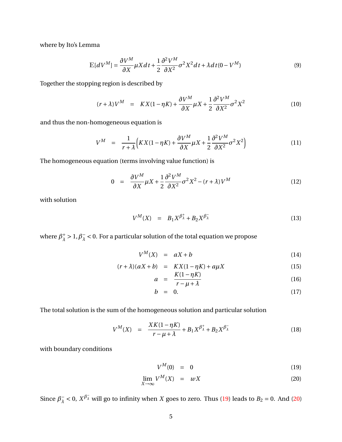where by Ito's Lemma

$$
\mathbb{E}[dV^M] = \frac{\partial V^M}{\partial X} \mu X dt + \frac{1}{2} \frac{\partial^2 V^M}{\partial X^2} \sigma^2 X^2 dt + \lambda dt (0 - V^M)
$$
\n(9)

Together the stopping region is described by

$$
(r+\lambda)V^M = KX(1-\eta K) + \frac{\partial V^M}{\partial X}\mu X + \frac{1}{2}\frac{\partial^2 V^M}{\partial X^2}\sigma^2 X^2
$$
 (10)

and thus the non-homogeneous equation is

$$
V^M = \frac{1}{r + \lambda} \Big( KX(1 - \eta K) + \frac{\partial V^M}{\partial X} \mu X + \frac{1}{2} \frac{\partial^2 V^M}{\partial X^2} \sigma^2 X^2 \Big) \tag{11}
$$

The homogeneous equation (terms involving value function) is

$$
0 = \frac{\partial V^M}{\partial X} \mu X + \frac{1}{2} \frac{\partial^2 V^M}{\partial X^2} \sigma^2 X^2 - (r + \lambda) V^M \tag{12}
$$

with solution

$$
V^{M}(X) = B_{1}X^{\beta_{\lambda}^{+}} + B_{2}X^{\beta_{\lambda}^{-}} \tag{13}
$$

where  $\beta_{\lambda}^{+}$  $\frac{1}{\lambda} > 1, \beta_{\lambda}^{-}$  $\lambda < 0$ . For a particular solution of the total equation we propose

$$
V^M(X) = aX + b \tag{14}
$$

$$
(r + \lambda)(aX + b) = KX(1 - \eta K) + a\mu X
$$
\n
$$
(15)
$$

$$
a = \frac{K(1 - \eta K)}{r - \mu + \lambda} \tag{16}
$$

$$
b = 0. \t(17)
$$

The total solution is the sum of the homogeneous solution and particular solution

$$
V^{M}(X) = \frac{XK(1 - \eta K)}{r - \mu + \lambda} + B_1 X^{\beta_{\lambda}^{+}} + B_2 X^{\beta_{\lambda}^{-}} \tag{18}
$$

with boundary conditions

<span id="page-4-0"></span>
$$
V^M(0) = 0 \tag{19}
$$

$$
\lim_{X \to \infty} V^M(X) = wX \tag{20}
$$

Since  $\beta_{\overline{\lambda}}^ \frac{1}{\lambda}$  < 0,  $X^{\beta_{\lambda}^{-}}$  will go to infinity when *X* goes to zero. Thus [\(19\)](#page-4-0) leads to *B*<sub>2</sub> = 0. And [\(20\)](#page-4-0)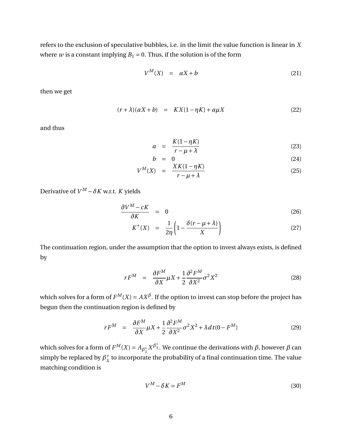refers to the exclusion of speculative bubbles, i.e. in the limit the value function is linear in *X* where *w* is a constant implying  $B_1 = 0$ . Thus, if the solution is of the form

$$
V^M(X) = aX + b \tag{21}
$$

then we get

$$
(r + \lambda)(aX + b) = KX(1 - \eta K) + a\mu X \tag{22}
$$

and thus

<span id="page-5-0"></span>
$$
a = \frac{K(1 - \eta K)}{r - \mu + \lambda} \tag{23}
$$

$$
b = 0 \tag{24}
$$
\n
$$
XK(1 - \eta K) \tag{25}
$$

$$
V^M(X) = \frac{\Lambda \Lambda (1 - \eta \Lambda)}{r - \mu + \lambda} \tag{25}
$$

Derivative of  $V^M - \delta K$  w.r.t. *K* yields

<span id="page-5-1"></span>
$$
\frac{\partial V^M - cK}{\partial K} = 0 \tag{26}
$$

$$
K^*(X) = \frac{1}{2\eta} \left( 1 - \frac{\delta(r - \mu + \lambda)}{X} \right) \tag{27}
$$

The continuation region, under the assumption that the option to invest always exists, is defined by

$$
rF^M = \frac{\partial F^M}{\partial X} \mu X + \frac{1}{2} \frac{\partial^2 F^M}{\partial X^2} \sigma^2 X^2 \tag{28}
$$

which solves for a form of  $F^M(X) = AX^{\beta}$ . If the option to invest can stop before the project has begun then the continuation region is defined by

$$
rF^M = \frac{\partial F^M}{\partial X} \mu X + \frac{1}{2} \frac{\partial^2 F^M}{\partial X^2} \sigma^2 X^2 + \lambda dt (0 - F^M) \tag{29}
$$

which solves for a form of  $F^M(X) = A_{\beta_1^+}$  $\frac{1}{\lambda}X^{\beta_{\lambda}^{+}}.$  We continue the derivations with *β*, however  $\beta$  can simply be replaced by  $\beta_1^+$  $_{\lambda}^{+}$  to incorporate the probability of a final continuation time. The value matching condition is

$$
V^M - \delta K = F^M \tag{30}
$$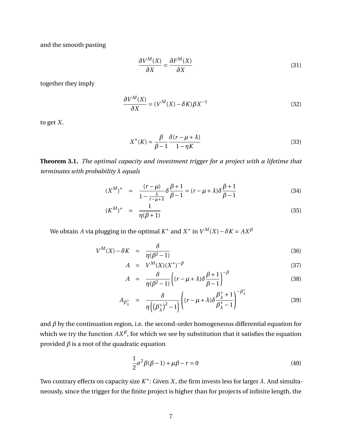and the smooth pasting

$$
\frac{\partial V^M(X)}{\partial X} = \frac{\partial F^M(X)}{\partial X}
$$
\n(31)

together they imply

$$
\frac{\partial V^M(X)}{\partial X} = (V^M(X) - \delta K)\beta X^{-1}
$$
\n(32)

to get *X*.

$$
X^*(K) = \frac{\beta}{\beta - 1} \frac{\delta(r - \mu + \lambda)}{1 - \eta K}
$$
\n(33)

**Theorem 3.1.** *The optimal capacity and investment trigger for a project with a lifetime that terminates with probability λ equals*

<span id="page-6-0"></span>
$$
(X^{M})^* = \frac{(r-\mu)}{1-\frac{\lambda}{r-\mu+\lambda}} \delta \frac{\beta+1}{\beta-1} = (r-\mu+\lambda)\delta \frac{\beta+1}{\beta-1}
$$
(34)

$$
(K^M)^* = \frac{1}{\eta(\beta + 1)}\tag{35}
$$

We obtain *A* via plugging in the optimal  $K^*$  and  $X^*$  in  $V^M(X) - \delta K = AX^{\beta}$ 

<span id="page-6-1"></span>
$$
V^M(X) - \delta K = \frac{\delta}{\eta(\beta^2 - 1)}
$$
\n(36)

$$
A = V^{M}(X)(X^{*})^{-\beta} \tag{37}
$$

$$
A = \frac{\delta}{\eta(\beta^2 - 1)} \left( (r - \mu + \lambda) \delta \frac{\beta + 1}{\beta - 1} \right)^{-\beta} \tag{38}
$$

$$
A_{\beta_\lambda^+} = \frac{\delta}{\eta\left(\left(\beta_\lambda^+\right)^2 - 1\right)} \left( (r - \mu + \lambda) \delta \frac{\beta_\lambda^+ + 1}{\beta_\lambda^+ - 1} \right)^{-\beta_\lambda^+} \tag{39}
$$

and  $\beta$  by the continuation region, i.e. the second-order homogeneous differential equation for which we try the function  $AX^\beta$ , for which we see by substitution that it satisfies the equation provided  $\beta$  is a root of the quadratic equation

<span id="page-6-2"></span>
$$
\frac{1}{2}\sigma^2 \beta(\beta - 1) + \mu \beta - r = 0
$$
\n(40)

Two contrary effects on capacity size *K* ∗ : Given *X*, the firm invests less for larger *λ*. And simultaneously, since the trigger for the finite project is higher than for projects of infinite length, the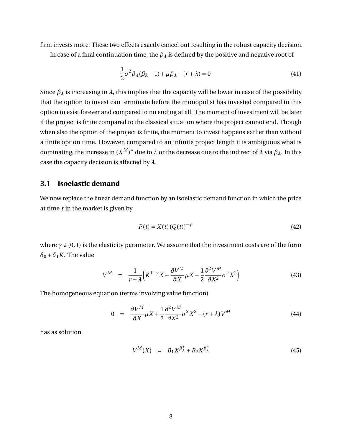firm invests more. These two effects exactly cancel out resulting in the robust capacity decision.

In case of a final continuation time, the *β<sup>λ</sup>* is defined by the positive and negative root of

<span id="page-7-0"></span>
$$
\frac{1}{2}\sigma^2 \beta_\lambda (\beta_\lambda - 1) + \mu \beta_\lambda - (r + \lambda) = 0
$$
\n(41)

Since  $\beta_{\lambda}$  is increasing in  $\lambda$ , this implies that the capacity will be lower in case of the possibility that the option to invest can terminate before the monopolist has invested compared to this option to exist forever and compared to no ending at all. The moment of investment will be later if the project is finite compared to the classical situation where the project cannot end. Though when also the option of the project is finite, the moment to invest happens earlier than without a finite option time. However, compared to an infinite project length it is ambiguous what is dominating, the increase in  $(X^M)^*$  due to  $\lambda$  or the decrease due to the indirect of  $\lambda$  via  $\beta_\lambda.$  In this case the capacity decision is affected by *λ*.

## **3.1 Isoelastic demand**

We now replace the linear demand function by an isoelastic demand function in which the price at time *t* in the market is given by

$$
P(t) = X(t) \left( Q(t) \right)^{-\gamma} \tag{42}
$$

where  $\gamma \in (0,1)$  is the elasticity parameter. We assume that the investment costs are of the form  $\delta_0 + \delta_1 K$ . The value

$$
V^M = \frac{1}{r + \lambda} \Big( K^{1-\gamma} X + \frac{\partial V^M}{\partial X} \mu X + \frac{1}{2} \frac{\partial^2 V^M}{\partial X^2} \sigma^2 X^2 \Big) \tag{43}
$$

The homogeneous equation (terms involving value function)

$$
0 = \frac{\partial V^M}{\partial X} \mu X + \frac{1}{2} \frac{\partial^2 V^M}{\partial X^2} \sigma^2 X^2 - (r + \lambda) V^M \tag{44}
$$

has as solution

$$
V^M(X) = B_1 X^{\beta^+}_{\lambda} + B_2 X^{\beta^-}_{\lambda}
$$
 (45)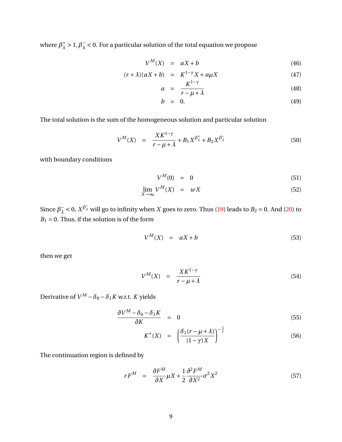where  $\beta_{\lambda}^{+}$  $\frac{1}{\lambda} > 1, \beta_{\lambda}^{-}$  $\lambda < 0$ . For a particular solution of the total equation we propose

$$
V^M(X) = aX + b \tag{46}
$$

$$
(r + \lambda)(aX + b) = K^{1-\gamma}X + a\mu X \tag{47}
$$

$$
a = \frac{K^{1-\gamma}}{r-\mu+\lambda} \tag{48}
$$

$$
b = 0. \t(49)
$$

The total solution is the sum of the homogeneous solution and particular solution

$$
V^{M}(X) = \frac{X K^{1-\gamma}}{r - \mu + \lambda} + B_1 X^{\beta_{\lambda}^{+}} + B_2 X^{\beta_{\lambda}^{-}} \tag{50}
$$

with boundary conditions

$$
V^M(0) = 0 \tag{51}
$$

$$
\lim_{X \to \infty} V^M(X) = wX \tag{52}
$$

Since  $\beta_{\overline{\lambda}}^ \frac{1}{\lambda}$  < 0,  $X^{\beta}$  will go to infinity when *X* goes to zero. Thus [\(19\)](#page-4-0) leads to *B*<sub>2</sub> = 0. And [\(20\)](#page-4-0) to  $B_1 = 0$ . Thus, if the solution is of the form

$$
V^M(X) = aX + b \tag{53}
$$

then we get

$$
V^M(X) = \frac{XK^{1-\gamma}}{r-\mu+\lambda} \tag{54}
$$

Derivative of  $V^M - \delta_0 - \delta_1 K$  w.r.t. *K* yields

$$
\frac{\partial V^M - \delta_0 - \delta_1 K}{\partial K} = 0 \tag{55}
$$

$$
K^*(X) = \left(\frac{\delta_1(r-\mu+\lambda)}{(1-\gamma)X}\right)^{-\frac{1}{\gamma}}
$$
(56)

The continuation region is defined by

<span id="page-8-0"></span>
$$
rF^M = \frac{\partial F^M}{\partial X} \mu X + \frac{1}{2} \frac{\partial^2 F^M}{\partial X^2} \sigma^2 X^2 \tag{57}
$$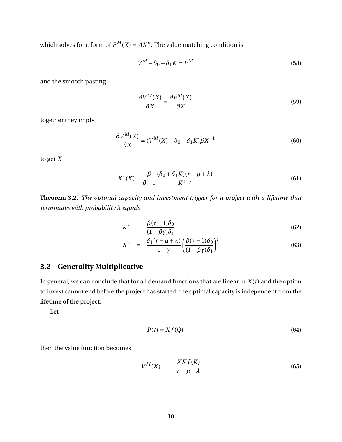which solves for a form of  $F^M(X) = AX^{\beta}$ . The value matching condition is

$$
V^M - \delta_0 - \delta_1 K = F^M \tag{58}
$$

and the smooth pasting

$$
\frac{\partial V^M(X)}{\partial X} = \frac{\partial F^M(X)}{\partial X} \tag{59}
$$

together they imply

$$
\frac{\partial V^M(X)}{\partial X} = (V^M(X) - \delta_0 - \delta_1 K) \beta X^{-1}
$$
\n(60)

to get *X*.

$$
X^*(K) = \frac{\beta}{\beta - 1} \frac{(\delta_0 + \delta_1 K)(r - \mu + \lambda)}{K^{1 - \gamma}}
$$
(61)

**Theorem 3.2.** *The optimal capacity and investment trigger for a project with a lifetime that terminates with probability λ equals*

$$
K^* = \frac{\beta(\gamma - 1)\delta_0}{(1 - \beta\gamma)\delta_1} \tag{62}
$$

$$
X^* = \frac{\delta_1(r - \mu + \lambda)}{1 - \gamma} \left( \frac{\beta(\gamma - 1)\delta_0}{(1 - \beta\gamma)\delta_1} \right)^{\gamma}
$$
(63)

## **3.2 Generality Multiplicative**

In general, we can conclude that for all demand functions that are linear in  $X(t)$  and the option to invest cannot end before the project has started, the optimal capacity is independent from the lifetime of the project.

Let

$$
P(t) = X f(Q) \tag{64}
$$

then the value function becomes

$$
V^M(X) = \frac{XKf(K)}{r - \mu + \lambda} \tag{65}
$$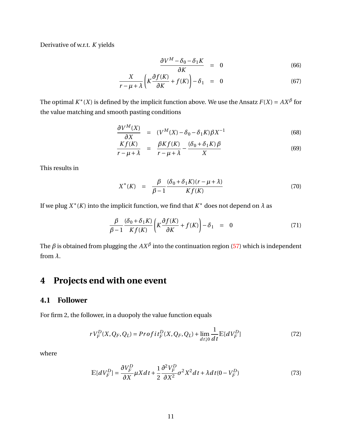Derivative of w.r.t. *K* yields

$$
\frac{\partial V^M - \delta_0 - \delta_1 K}{\partial K} = 0 \tag{66}
$$

$$
\frac{X}{r-\mu+\lambda}\left(K\frac{\partial f(K)}{\partial K}+f(K)\right)-\delta_1 = 0 \tag{67}
$$

The optimal  $K^*(X)$  is defined by the implicit function above. We use the Ansatz  $F(X) = AX^{\beta}$  for the value matching and smooth pasting conditions

$$
\frac{\partial V^M(X)}{\partial X} = (V^M(X) - \delta_0 - \delta_1 K) \beta X^{-1}
$$
\n(68)

$$
\frac{Kf(K)}{r - \mu + \lambda} = \frac{\beta Kf(K)}{r - \mu + \lambda} - \frac{(\delta_0 + \delta_1 K)\beta}{X}
$$
(69)

This results in

$$
X^*(K) = \frac{\beta}{\beta - 1} \frac{(\delta_0 + \delta_1 K)(r - \mu + \lambda)}{Kf(K)} \tag{70}
$$

If we plug  $X^*(K)$  into the implicit function, we find that  $K^*$  does not depend on  $\lambda$  as

$$
\frac{\beta}{\beta - 1} \frac{(\delta_0 + \delta_1 K)}{K f(K)} \left( K \frac{\partial f(K)}{\partial K} + f(K) \right) - \delta_1 = 0 \tag{71}
$$

The  $\beta$  is obtained from plugging the  $AX^\beta$  into the continuation region [\(57\)](#page-8-0) which is independent from *λ*.

# <span id="page-10-0"></span>**4 Projects end with one event**

### **4.1 Follower**

For firm 2, the follower, in a duopoly the value function equals

$$
rV_F^D(X, Q_F, Q_L) = \text{Profit}_F^D(X, Q_F, Q_L) + \lim_{d \downarrow 0} \frac{1}{dt} \mathbb{E}[dV_F^D] \tag{72}
$$

where

$$
\mathbb{E}[dV_F^D] = \frac{\partial V_F^D}{\partial X} \mu X dt + \frac{1}{2} \frac{\partial^2 V_F^D}{\partial X^2} \sigma^2 X^2 dt + \lambda dt (0 - V_F^D)
$$
(73)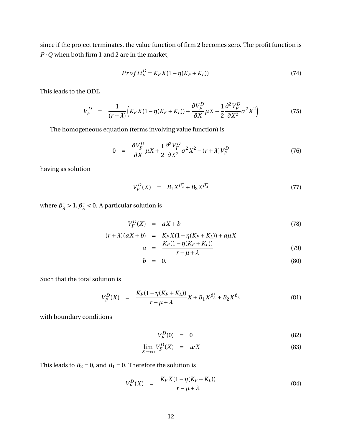since if the project terminates, the value function of firm 2 becomes zero. The profit function is  $P\cdot Q$  when both firm 1 and 2 are in the market,

$$
Profit_F^D = K_F X (1 - \eta (K_F + K_L))
$$
\n(74)

This leads to the ODE

$$
V_F^D = \frac{1}{(r+\lambda)} \Big( K_F X (1 - \eta (K_F + K_L)) + \frac{\partial V_F^D}{\partial X} \mu X + \frac{1}{2} \frac{\partial^2 V_F^D}{\partial X^2} \sigma^2 X^2 \Big) \tag{75}
$$

The homogeneous equation (terms involving value function) is

$$
0 = \frac{\partial V_F^D}{\partial X} \mu X + \frac{1}{2} \frac{\partial^2 V_F^D}{\partial X^2} \sigma^2 X^2 - (r + \lambda) V_F^D \tag{76}
$$

having as solution

$$
V_F^D(X) = B_1 X^{\beta_{\lambda}^+} + B_2 X^{\beta_{\lambda}^-} \tag{77}
$$

where  $\beta_{\lambda}^{+}$  $\frac{1}{\lambda} > 1, \beta_{\lambda}^{-}$  $\overline{\lambda}$  < 0. A particular solution is

$$
V_F^D(X) = aX + b \tag{78}
$$

$$
(r + \lambda)(aX + b) = K_F X (1 - \eta (K_F + K_L)) + a\mu X
$$
  

$$
K_F (1 - \eta (K_F + K_L))
$$
 (70)

$$
a = \frac{r_{\mu} - \mu_{\mu} - \mu_{\mu}}{r - \mu + \lambda} \tag{79}
$$

$$
b = 0. \t\t(80)
$$

Such that the total solution is

$$
V_F^D(X) = \frac{K_F(1 - \eta(K_F + K_L))}{r - \mu + \lambda} X + B_1 X^{\beta_{\lambda}^+} + B_2 X^{\beta_{\lambda}^-}
$$
(81)

with boundary conditions

$$
V_F^D(0) = 0 \t\t(82)
$$

$$
\lim_{X \to \infty} V_F^D(X) = wX \tag{83}
$$

This leads to  $B_2 = 0$ , and  $B_1 = 0$ . Therefore the solution is

$$
V_F^D(X) = \frac{K_F X (1 - \eta (K_F + K_L))}{r - \mu + \lambda} \tag{84}
$$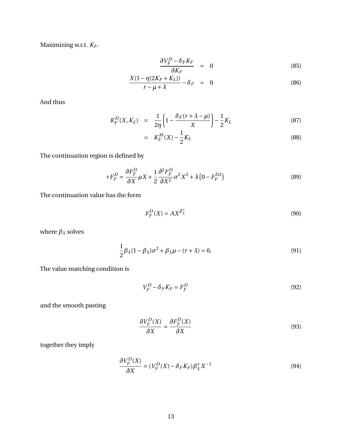Maximizing w.r.t. *K<sup>F</sup>* .

$$
\frac{\partial V_F^D - \delta_F K_F}{\partial K_F} = 0 \tag{85}
$$

$$
\frac{X(1-\eta(2K_F+K_L))}{r-\mu+\lambda} - \delta_F = 0 \tag{86}
$$

And thus

$$
K_F^D(X, K_L) = \frac{1}{2\eta} \left( 1 - \frac{\delta_F(r + \lambda - \mu)}{X} \right) - \frac{1}{2} K_L \tag{87}
$$

$$
= K_F^M(X) - \frac{1}{2}K_L \tag{88}
$$

The continuation region is defined by

$$
rF_F^D = \frac{\partial F_F^D}{\partial X}\mu X + \frac{1}{2}\frac{\partial^2 F_F^D}{\partial X^2}\sigma^2 X^2 + \lambda \left(0 - F_F^{D2}\right)
$$
(89)

The continuation value has the form

$$
F_F^D(X) = AX^{\beta_{\lambda}^+}
$$
\n(90)

where  $\beta_{\lambda}$  solves

$$
\frac{1}{2}\beta_{\lambda}(1-\beta_{\lambda})\sigma^2 + \beta_{\lambda}\mu - (r+\lambda) = 0,
$$
\n(91)

The value matching condition is

$$
V_F^D - \delta_F K_F = F_F^D \tag{92}
$$

and the smooth pasting

$$
\frac{\partial V_F^D(X)}{\partial X} = \frac{\partial F_F^D(X)}{\partial X}
$$
\n(93)

together they imply

$$
\frac{\partial V_F^D(X)}{\partial X} = (V_F^D(X) - \delta_F K_F) \beta_\lambda^+ X^{-1}
$$
\n(94)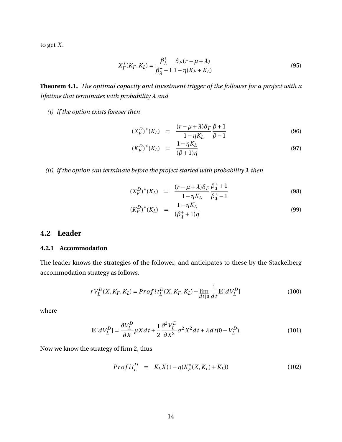to get *X*.

$$
X_F^*(K_F, K_L) = \frac{\beta_{\lambda}^+}{\beta_{\lambda}^+ - 1} \frac{\delta_F(r - \mu + \lambda)}{1 - \eta(K_F + K_L)}
$$
(95)

**Theorem 4.1.** *The optimal capacity and investment trigger of the follower for a project with a lifetime that terminates with probability λ and*

*(i) if the option exists forever then*

<span id="page-13-0"></span>
$$
(X_F^D)^*(K_L) = \frac{(r - \mu + \lambda)\delta_F}{1 - \eta K_L} \frac{\beta + 1}{\beta - 1}
$$
 (96)

$$
(K_F^D)^*(K_L) = \frac{1 - \eta K_L}{(\beta + 1)\eta} \tag{97}
$$

*(ii) if the option can terminate before the project started with probability λ then*

<span id="page-13-1"></span>
$$
(X_F^D)^*(K_L) = \frac{(r - \mu + \lambda)\delta_F}{1 - \eta K_L} \frac{\beta_\lambda^+ + 1}{\beta_\lambda^+ - 1}
$$
(98)

$$
(K_F^D)^*(K_L) = \frac{1 - \eta K_L}{(\beta_\lambda^+ + 1)\eta} \tag{99}
$$

## **4.2 Leader**

#### **4.2.1 Accommodation**

The leader knows the strategies of the follower, and anticipates to these by the Stackelberg accommodation strategy as follows.

$$
rV_L^D(X, K_F, K_L) = \Pr{of\,} i_L^D(X, K_F, K_L) + \lim_{d \downarrow 0} \frac{1}{d\,t} \mathbb{E}[dV_L^D] \tag{100}
$$

where

$$
\mathbb{E}[dV_L^D] = \frac{\partial V_L^D}{\partial X} \mu X dt + \frac{1}{2} \frac{\partial^2 V_L^D}{\partial X^2} \sigma^2 X^2 dt + \lambda dt (0 - V_L^D)
$$
(101)

Now we know the strategy of firm 2, thus

$$
Profit_{L}^{D} = K_{L}X(1 - \eta(K_{F}^{*}(X, K_{L}) + K_{L})) \qquad (102)
$$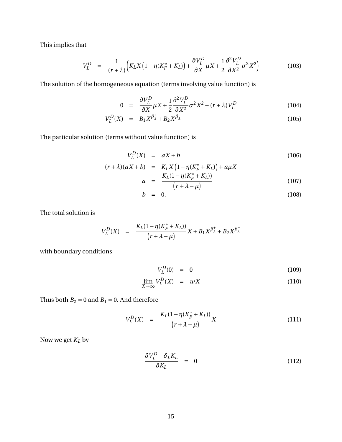This implies that

$$
V_L^D = \frac{1}{(r+\lambda)} \Big( K_L X \Big( 1 - \eta (K_F^* + K_L) \Big) + \frac{\partial V_L^D}{\partial X} \mu X + \frac{1}{2} \frac{\partial^2 V_L^D}{\partial X^2} \sigma^2 X^2 \Big) \tag{103}
$$

The solution of the homogeneous equation (terms involving value function) is

$$
0 = \frac{\partial V_L^D}{\partial X} \mu X + \frac{1}{2} \frac{\partial^2 V_L^D}{\partial X^2} \sigma^2 X^2 - (r + \lambda) V_L^D \tag{104}
$$

$$
V_L^D(X) = B_1 X^{\beta^+}_{\lambda} + B_2 X^{\beta^-}_{\lambda}
$$
 (105)

The particular solution (terms without value function) is

$$
V_L^D(X) = aX + b \tag{106}
$$

$$
(r + \lambda)(aX + b) = K_L X (1 - \eta (K_F^* + K_L)) + a\mu X
$$
  

$$
a = \frac{K_L (1 - \eta (K_F^* + K_L))}{(107)}
$$
 (107)

$$
= \frac{2\pi\sqrt{r^2 + 2\rho}}{(r + \lambda - \mu)}
$$
 (107)

$$
b = 0. \t(108)
$$

The total solution is

$$
V_L^D(X) = \frac{K_L(1 - \eta(K_F^* + K_L))}{(r + \lambda - \mu)} X + B_1 X^{\beta_{\lambda}^+} + B_2 X^{\beta_{\lambda}^-}
$$

with boundary conditions

$$
V_L^D(0) = 0 \t\t(109)
$$

$$
\lim_{X \to \infty} V_L^D(X) = wX \tag{110}
$$

Thus both  $B_2 = 0$  and  $B_1 = 0$ . And therefore

$$
V_L^D(X) = \frac{K_L(1 - \eta(K_F^* + K_L))}{(r + \lambda - \mu)}X
$$
\n(111)

Now we get *K<sup>L</sup>* by

$$
\frac{\partial V_L^D - \delta_L K_L}{\partial K_L} = 0 \tag{112}
$$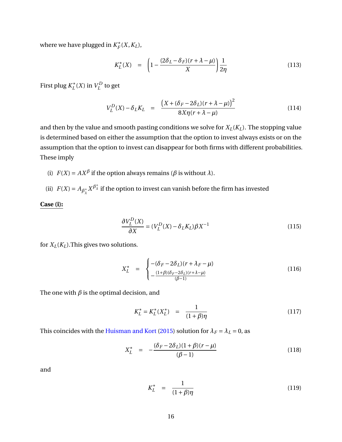<span id="page-15-1"></span>where we have plugged in  $K_F^*$  $\iota_F^*(X,K_L)$ ,

<span id="page-15-0"></span>
$$
K_L^*(X) = \left(1 - \frac{(2\delta_L - \delta_F)(r + \lambda - \mu)}{X}\right) \frac{1}{2\eta}
$$
\n(113)

First plug *K* ∗  $L^*(X)$  in  $V^D_L$  $L^{\prime}$  to get

$$
V_L^D(X) - \delta_L K_L = \frac{\left(X + (\delta_F - 2\delta_L)(r + \lambda - \mu)\right)^2}{8X\eta(r + \lambda - \mu)}
$$
(114)

and then by the value and smooth pasting conditions we solve for  $X_L(K_L)$ . The stopping value is determined based on either the assumption that the option to invest always exists or on the assumption that the option to invest can disappear for both firms with different probabilities. These imply

- (i)  $F(X) = AX^{\beta}$  if the option always remains ( $\beta$  is without  $\lambda$ ).
- (ii)  $F(X) = A_{\beta_1^+}$  $\frac{1}{\lambda}X^{\beta^+_\lambda}$  if the option to invest can vanish before the firm has invested

**Case (i):**

$$
\frac{\partial V_L^D(X)}{\partial X} = (V_L^D(X) - \delta_L K_L) \beta X^{-1}
$$
\n(115)

for  $X_L(K_L)$ . This gives two solutions.

$$
X_L^* = \begin{cases} -(\delta_F - 2\delta_L)(r + \lambda_F - \mu) \\ -\frac{(1+\beta)(\delta_F - 2\delta_L)(r + \lambda - \mu)}{(\beta - 1)} \end{cases}
$$
(116)

The one with  $\beta$  is the optimal decision, and

$$
K_L^* = K_L^*(X_L^*) = \frac{1}{(1+\beta)\eta}
$$
 (117)

This coincides with the [Huisman and Kort](#page-38-4) [\(2015\)](#page-38-4) solution for  $\lambda_F = \lambda_L = 0$ , as

$$
X_L^* = -\frac{(\delta_F - 2\delta_L)(1+\beta)(r-\mu)}{(\beta - 1)}
$$
(118)

and

$$
K_L^* = \frac{1}{(1+\beta)\eta} \tag{119}
$$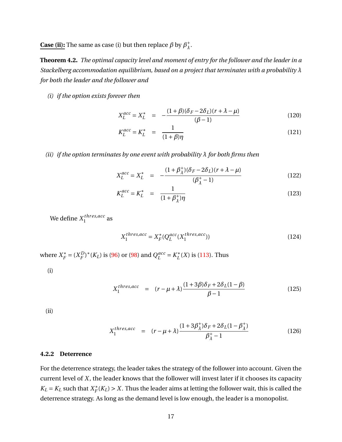**Case (ii):** The same as case (i) but then replace  $\beta$  by  $\beta^+$ *λ* .

**Theorem 4.2.** *The optimal capacity level and moment of entry for the follower and the leader in a Stackelberg accommodation equilibrium, based on a project that terminates with a probability λ for both the leader and the follower and*

*(i) if the option exists forever then*

$$
X_L^{acc} = X_L^* = -\frac{(1+\beta)(\delta_F - 2\delta_L)(r + \lambda - \mu)}{(\beta - 1)}
$$
(120)

$$
K_L^{acc} = K_L^* = \frac{1}{(1+\beta)\eta}
$$
 (121)

*(ii) if the option terminates by one event with probability λ for both firms then*

$$
X_L^{acc} = X_L^* = -\frac{(1 + \beta_{\lambda}^+)(\delta_F - 2\delta_L)(r + \lambda - \mu)}{(\beta_{\lambda}^+ - 1)}
$$
(122)

$$
K_L^{acc} = K_L^* = \frac{1}{(1 + \beta_\lambda^+)\eta}
$$
 (123)

We define  $X_1^{thres,acc}$  $\frac{1}{1}$ <sup>thres, acc</sup> as

$$
X_1^{thres, acc} = X_F^*(Q_L^{acc}(X_1^{thres, acc}))
$$
\n(124)

where  $X_F^*$  $E_F^* = (X_F^D)$  $(P_F^D)^*(K_L)$  is [\(96\)](#page-13-0) or [\(98\)](#page-13-1) and  $Q_L^{acc}$  $L^{acc} = K_L^*$  $L^*(X)$  is [\(113\)](#page-15-0). Thus

(i)

$$
X_1^{thres, acc} = (r - \mu + \lambda) \frac{(1 + 3\beta)\delta_F + 2\delta_L(1 - \beta)}{\beta - 1}
$$
 (125)

(ii)

$$
X_1^{thres, acc} = (r - \mu + \lambda) \frac{(1 + 3\beta_\lambda^+) \delta_F + 2\delta_L (1 - \beta_\lambda^+)}{\beta_\lambda^+ - 1}
$$
(126)

### **4.2.2 Deterrence**

For the deterrence strategy, the leader takes the strategy of the follower into account. Given the current level of *X*, the leader knows that the follower will invest later if it chooses its capacity  $K_L = K_L$  such that  $X_F^*$  $F_F^*(K_L) > X$ . Thus the leader aims at letting the follower wait, this is called the deterrence strategy. As long as the demand level is low enough, the leader is a monopolist.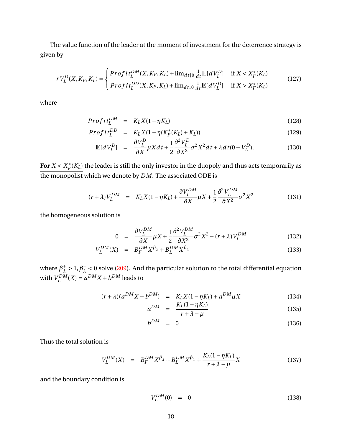The value function of the leader at the moment of investment for the deterrence strategy is given by

$$
rV_L^D(X, K_F, K_L) = \begin{cases} \n\text{Profit}_L^{DM}(X, K_F, K_L) + \lim_{d t \downarrow 0} \frac{1}{dt} \mathbb{E}[dV_L^D] & \text{if } X < X_F^*(K_L) \\ \n\text{Profit}_L^{DD}(X, K_F, K_L) + \lim_{d t \downarrow 0} \frac{1}{dt} \mathbb{E}[dV_L^D] & \text{if } X > X_F^*(K_L) \n\end{cases} \tag{127}
$$

where

$$
Profit_L^{DM} = K_L X (1 - \eta K_L) \tag{128}
$$

$$
Profit_{L}^{DD} = K_{L}X(1 - \eta(K_{F}^{*}(K_{L}) + K_{L}))
$$
\n(129)

$$
\mathbb{E}[dV_L^D] = \frac{\partial V_L^D}{\partial X} \mu X dt + \frac{1}{2} \frac{\partial^2 V_L^D}{\partial X^2} \sigma^2 X^2 dt + \lambda dt (0 - V_L^D). \tag{130}
$$

For  $X < X_F^*$  $\mathcal{F}_{F}^*(K_L)$  the leader is still the only investor in the duopoly and thus acts temporarily as the monopolist which we denote by *DM*. The associated ODE is

$$
(r+\lambda)V_L^{DM} = K_LX(1-\eta K_L) + \frac{\partial V_L^{DM}}{\partial X}\mu X + \frac{1}{2}\frac{\partial^2 V_L^{DM}}{\partial X^2}\sigma^2 X^2
$$
 (131)

the homogeneous solution is

$$
0 = \frac{\partial V_L^{DM}}{\partial X} \mu X + \frac{1}{2} \frac{\partial^2 V_L^{DM}}{\partial X^2} \sigma^2 X^2 - (r + \lambda) V_L^{DM}
$$
(132)

$$
V_L^{DM}(X) = B_F^{DM} X^{\beta^+}_{\lambda} + B_L^{DM} X^{\beta^-}_{\lambda}
$$
 (133)

where  $\beta_{\lambda}^{+}$  $\frac{1}{\lambda} > 1, \beta_{\lambda}^{-}$  $\lambda < 0$  solve [\(209\)](#page-26-0). And the particular solution to the total differential equation with  $V_I^{DM}$  $L^{D M}(X) = a^{D M} X + b^{D M}$  leads to

$$
(r + \lambda)(a^{DM}X + b^{DM}) = K_L X (1 - \eta K_L) + a^{DM} \mu X
$$
\n(134)

$$
a^{DM} = \frac{K_L(1 - \eta K_L)}{r + \lambda - \mu} \tag{135}
$$

$$
b^{DM} = 0 \tag{136}
$$

Thus the total solution is

$$
V_L^{DM}(X) = B_F^{DM} X^{\beta_{\lambda}^{+}} + B_L^{DM} X^{\beta_{\lambda}^{-}} + \frac{K_L (1 - \eta K_L)}{r + \lambda - \mu} X
$$
 (137)

and the boundary condition is

$$
V_L^{DM}(0) = 0 \t\t(138)
$$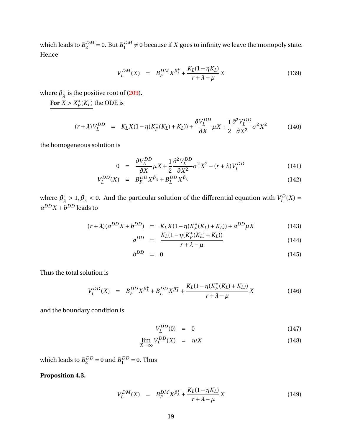which leads to  $B_2^{DM} = 0$ . But  $B_1^{DM}$  $_{1}^{DM} \neq 0$  because if *X* goes to infinity we leave the monopoly state. Hence

$$
V_L^{DM}(X) = B_F^{DM} X^{\beta_{\lambda}^{+}} + \frac{K_L (1 - \eta K_L)}{r + \lambda - \mu} X
$$
\n(139)

where  $\beta_{\lambda}^{+}$  $^+_\lambda$  is the positive root of [\(209\)](#page-26-0).

For  $X > X_F^*$  $\int_F^*(K_L)$  the ODE is

$$
(r + \lambda)V_L^{DD} = K_L X (1 - \eta (K_F^*(K_L) + K_L)) + \frac{\partial V_L^{DD}}{\partial X} \mu X + \frac{1}{2} \frac{\partial^2 V_L^{DD}}{\partial X^2} \sigma^2 X^2
$$
(140)

the homogeneous solution is

$$
0 = \frac{\partial V_L^{DD}}{\partial X} \mu X + \frac{1}{2} \frac{\partial^2 V_L^{DD}}{\partial X^2} \sigma^2 X^2 - (r + \lambda) V_L^{DD}
$$
(141)

$$
V_L^{DD}(X) = B_F^{DD} X^{\beta^+}_{\lambda} + B_L^{DD} X^{\beta^-}_{\lambda}
$$
 (142)

where  $\beta_{\lambda}^{+}$  $\frac{1}{\lambda} > 1, \beta_{\lambda}^{-}$  $\lambda$  < 0. And the particular solution of the differential equation with  $V_L^D$  $L^{D}(X) =$  $a^{DD}X + b^{DD}$  leads to

$$
(r + \lambda)(a^{DD}X + b^{DD}) = K_L X (1 - \eta(K_F^*(K_L) + K_L)) + a^{DD} \mu X
$$
\n
$$
(143)
$$
\n
$$
K_L (1 - \eta(K_F^*(K_L) + K_L))
$$
\n
$$
(144)
$$

$$
a^{DD} = \frac{K_L(1 - \eta(K_F^+(K_L) + K_L))}{r + \lambda - \mu}
$$
 (144)

$$
b^{DD} = 0 \tag{145}
$$

Thus the total solution is

$$
V_L^{DD}(X) = B_F^{DD} X^{\beta^+_{\lambda}} + B_L^{DD} X^{\beta^-_{\lambda}} + \frac{K_L (1 - \eta (K_F^*(K_L) + K_L))}{r + \lambda - \mu} X
$$
 (146)

and the boundary condition is

$$
V_L^{DD}(0) = 0 \t\t(147)
$$

$$
\lim_{X \to \infty} V_L^{DD}(X) = wX \tag{148}
$$

which leads to  $B_2^{DD} = 0$  and  $B_1^{DD} = 0$ . Thus

**Proposition 4.3.**

$$
V_L^{DM}(X) = B_F^{DM} X^{\beta_{\lambda}^{+}} + \frac{K_L (1 - \eta K_L)}{r + \lambda - \mu} X
$$
 (149)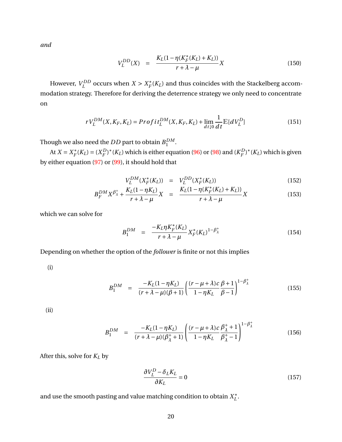*and*

$$
V_L^{DD}(X) = \frac{K_L(1 - \eta(K_F^*(K_L) + K_L))}{r + \lambda - \mu}X
$$
\n(150)

However,  $V_I^{DD}$  $L^{DD}$  occurs when  $X > X_F^*$  $\mathcal{F}_{F}^{*}(K_{L})$  and thus coincides with the Stackelberg accommodation strategy. Therefore for deriving the deterrence strategy we only need to concentrate on

$$
rV_L^{DM}(X, K_F, K_L) = Profit_L^{DM}(X, K_F, K_L) + \lim_{dt \downarrow 0} \frac{1}{dt} \mathbb{E}[dV_L^D]
$$
(151)

Though we also need the  $DD$  part to obtain  $B_1^{DM}$  $\frac{DM}{1}$ .

At  $X = X_F^*$  $F_F^*(K_L) = (X_F^D)$  $(F_F^{(D)*}(K_L)$  which is either equation [\(96\)](#page-13-0) or [\(98\)](#page-13-1) and  $(K_F^D)$  $(F_F^D)^*(K_L)$  which is given by either equation [\(97\)](#page-13-0) or [\(99\)](#page-13-1), it should hold that

$$
V_L^{DM}(X_F^*(K_L)) = V_L^{DD}(X_F^*(K_L))
$$
\n(152)

$$
B_F^{DM} X^{\beta^+_{\lambda}} + \frac{K_L (1 - \eta K_L)}{r + \lambda - \mu} X = \frac{K_L (1 - \eta (K_F^* (K_L) + K_L))}{r + \lambda - \mu} X
$$
 (153)

which we can solve for

$$
B_1^{DM} = \frac{-K_L \eta K_F^*(K_L)}{r + \lambda - \mu} X_F^*(K_L)^{1 - \beta_{\lambda}^+}
$$
 (154)

Depending on whether the option of the *follower* is finite or not this implies

(i)

$$
B_1^{DM} = \frac{-K_L(1 - \eta K_L)}{(r + \lambda - \mu)(\beta + 1)} \left( \frac{(r - \mu + \lambda)c}{1 - \eta K_L} \frac{\beta + 1}{\beta - 1} \right)^{1 - \beta_{\lambda}^{+}}
$$
(155)

 $\sim$ 

(ii)

$$
B_1^{DM} = \frac{-K_L(1 - \eta K_L)}{(r + \lambda - \mu)(\beta_{\lambda}^+ + 1)} \left( \frac{(r - \mu + \lambda)c}{1 - \eta K_L} \frac{\beta_{\lambda}^+ + 1}{\beta_{\lambda}^+ - 1} \right)^{1 - \beta_{\lambda}^+}
$$
(156)

After this, solve for *K<sup>L</sup>* by

$$
\frac{\partial V_L^D - \delta_L K_L}{\partial K_L} = 0 \tag{157}
$$

and use the smooth pasting and value matching condition to obtain  $X_I^*$ *L* .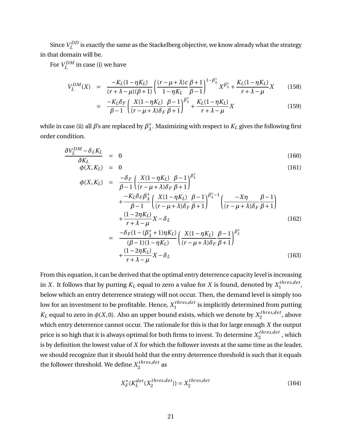Since  $V_I^{DD}$  $L^{DD}$  is exactly the same as the Stackelberg objective, we know already what the strategy in that domain will be.

For  $V_I^{DM}$  $L^{LDM}$  in case (i) we have

$$
V_L^{DM}(X) = \frac{-K_L(1 - \eta K_L)}{(r + \lambda - \mu)(\beta + 1)} \left(\frac{(r - \mu + \lambda)c}{1 - \eta K_L} \frac{\beta + 1}{\beta - 1}\right)^{1 - \beta_{\lambda}^{+}} X^{\beta_{\lambda}^{+}} + \frac{K_L(1 - \eta K_L)}{r + \lambda - \mu} X
$$
(158)

$$
= \frac{-K_L \delta_F}{\beta - 1} \left( \frac{X(1 - \eta K_L)}{(r - \mu + \lambda)\delta_F} \frac{\beta - 1}{\beta + 1} \right)^{\beta_{\lambda}^{+}} + \frac{K_L (1 - \eta K_L)}{r + \lambda - \mu} X \tag{159}
$$

while in case (ii) all  $\beta$ 's are replaced by  $\beta_1^+$ *λ* . Maximizing with respect to *K<sup>L</sup>* gives the following first order condition.

<span id="page-20-0"></span>
$$
\frac{\partial V_L^{DM} - \delta_L K_L}{\partial K_L} = 0 \tag{160}
$$

$$
\phi(X, K_L) = 0 \tag{161}
$$

$$
\phi(X, K_L) = \frac{-\delta_F}{\beta - 1} \left( \frac{X(1 - \eta K_L)}{(r - \mu + \lambda)\delta_F} \frac{\beta - 1}{\beta + 1} \right)^{\beta_{\lambda}^+} + \frac{-K_L \delta_F \beta_{\lambda}^+}{\beta - 1} \left( \frac{X(1 - \eta K_L)}{(r - \mu + \lambda)\delta_F} \frac{\beta - 1}{\beta + 1} \right)^{\beta_{\lambda}^+ - 1} \left( \frac{-X\eta}{(r - \mu + \lambda)\delta_F} \frac{\beta - 1}{\beta + 1} \right) + \frac{(1 - 2\eta K_L)}{r + \lambda - \mu} X - \delta_L \tag{162}
$$
\n
$$
= \frac{-\delta_F (1 - (\beta_{\lambda}^+ + 1)\eta K_L)}{(\beta - 1)(1 - \eta K_L)} \left( \frac{X(1 - \eta K_L)}{(r - \mu + \lambda)\delta_F} \frac{\beta - 1}{\beta + 1} \right)^{\beta_{\lambda}^+} + \frac{(1 - 2\eta K_L)}{r + \lambda - \mu} X - \delta_L \tag{163}
$$

From this equation, it can be derived that the optimal entry deterrence capacity level is increasing in *X*. It follows that by putting  $K_L$  equal to zero a value for  $X$  is found, denoted by  $X_1^{thres, det}$ unres,aet,<br>1 below which an entry deterrence strategy will not occur. Then, the demand level is simply too low for an investment to be profitable. Hence,  $X_1^{thres, det}$  $\sum_{1}^{times, del}$  is implicitly determined from putting *K<sub>L</sub>* equal to zero in  $\phi(X,0).$  Also an upper bound exists, which we denote by  $X_2^{thres, det}$  $\frac{2^{n} \cdot \text{arcs}, a e}{2}$ , above which entry deterrence cannot occur. The rationale for this is that for large enough *X* the output price is so high that it is always optimal for both firms to invest. To determine  $X_2^{thres, det}$  $\frac{2^{n} \cdot \ln \cos(\theta)}{2}$ , which is by definition the lowest value of *X* for which the follower invests at the same time as the leader, we should recognize that it should hold that the entry deterrence threshold is such that it equals the follower threshold. We define  $X_2^{thres, det}$  $\frac{2}{2}$ <sup>t *nres*, aet</sup> as

$$
X_F^*(K_L^{det}(X_2^{thres, det})) = X_2^{thres, det}
$$
\n(164)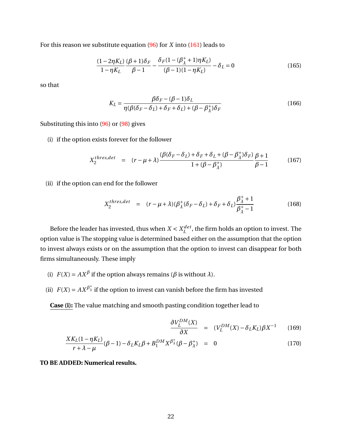For this reason we substitute equation [\(96\)](#page-13-0) for *X* into [\(161\)](#page-20-0) leads to

$$
\frac{(1-2\eta K_L)}{1-\eta K_L} \frac{(\beta+1)\delta_F}{\beta-1} - \frac{\delta_F (1-(\beta_{\lambda}^+ + 1)\eta K_L)}{(\beta-1)(1-\eta K_L)} - \delta_L = 0
$$
\n(165)

so that

$$
K_L = \frac{\beta \delta_F - (\beta - 1)\delta_L}{\eta(\beta(\delta_F - \delta_L) + \delta_F + \delta_L) + (\beta - \beta_\lambda^+)\delta_F}
$$
(166)

Substituting this into [\(96\)](#page-13-0) or [\(98\)](#page-13-1) gives

(i) if the option exists forever for the follower

$$
X_2^{thres, det} = (r - \mu + \lambda) \frac{(\beta(\delta_F - \delta_L) + \delta_F + \delta_L + (\beta - \beta_{\lambda}^+) \delta_F)}{1 + (\beta - \beta_{\lambda}^+)} \frac{\beta + 1}{\beta - 1}
$$
(167)

(ii) if the option can end for the follower

$$
X_2^{thres, det} = (r - \mu + \lambda)(\beta_{\lambda}^+(\delta_F - \delta_L) + \delta_F + \delta_L)\frac{\beta_{\lambda}^+ + 1}{\beta_{\lambda}^+ - 1}
$$
(168)

Before the leader has invested, thus when  $X < X_t^{det}$  $L^{det}$ , the firm holds an option to invest. The option value is The stopping value is determined based either on the assumption that the option to invest always exists or on the assumption that the option to invest can disappear for both firms simultaneously. These imply

- (i)  $F(X) = AX^{\beta}$  if the option always remains ( $\beta$  is without  $\lambda$ ).
- (ii)  $F(X) = AX^{\beta^+}$  if the option to invest can vanish before the firm has invested

**Case (i):** The value matching and smooth pasting condition together lead to

$$
\frac{\partial V_L^{DM}(X)}{\partial X} = (V_L^{DM}(X) - \delta_L K_L) \beta X^{-1}
$$
 (169)

$$
\frac{XK_L(1-\eta K_L)}{r+\lambda-\mu}(\beta-1)-\delta_L K_L \beta + B_1^{DM} X^{\beta^+}_{\lambda}(\beta-\beta^+_{\lambda}) = 0
$$
\n(170)

**TO BE ADDED: Numerical results.**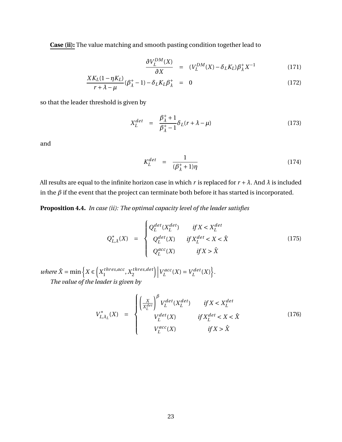**Case (ii):** The value matching and smooth pasting condition together lead to

$$
\frac{\partial V_L^{DM}(X)}{\partial X} = (V_L^{DM}(X) - \delta_L K_L) \beta_\lambda^+ X^{-1}
$$
\n(171)

$$
\frac{XK_L(1-\eta K_L)}{r+\lambda-\mu}(\beta_\lambda^+-1)-\delta_L K_L\beta_\lambda^+ = 0
$$
\n(172)

so that the leader threshold is given by

$$
X_L^{det} = \frac{\beta_{\lambda}^+ + 1}{\beta_{\lambda}^+ - 1} \delta_L(r + \lambda - \mu)
$$
\n(173)

and

$$
K_L^{det} = \frac{1}{(\beta_\lambda^+ + 1)\eta} \tag{174}
$$

All results are equal to the infinite horizon case in which *r* is replaced for  $r + \lambda$ . And  $\lambda$  is included in the  $\beta$  if the event that the project can terminate both before it has started is incorporated.

**Proposition 4.4.** *In case (ii): The optimal capacity level of the leader satisfies*

$$
Q_{L,\lambda}^*(X) = \begin{cases} Q_L^{det}(X_L^{det}) & \text{if } X < X_L^{det} \\ Q_L^{det}(X) & \text{if } X_L^{det} < X < \hat{X} \\ Q_L^{acc}(X) & \text{if } X > \hat{X} \end{cases} \tag{175}
$$

*where*  $\hat{X} = \min \left\{ X \in \left( X_1^{thres, acc} \right) \right\}$ 1 ,*X thr es*,*de t* 2  $\Big) \Big| V_L^{acc}$  $L^{acc}(X) = V_L^{det}$  $L^{det}(X)$ . *The value of the leader is given by*

$$
V_{L,\lambda_L}^*(X) = \begin{cases} \left(\frac{X}{X_L^{det}}\right)^\beta V_L^{det}(X_L^{det}) & \text{if } X < X_L^{det} \\ V_L^{det}(X) & \text{if } X_L^{det} < X < \hat{X} \\ V_L^{acc}(X) & \text{if } X > \hat{X} \end{cases} \tag{176}
$$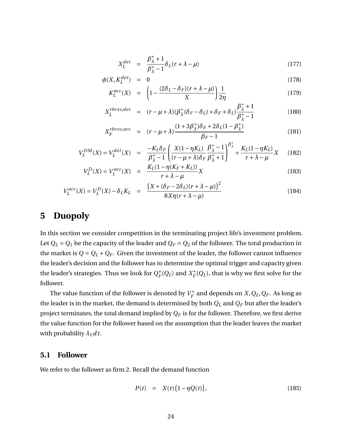$$
X_L^{det} = \frac{\beta_{\lambda}^+ + 1}{\beta_{\lambda}^+ - 1} \delta_L(r + \lambda - \mu)
$$
 (177)

$$
\phi(X, K_L^{det}) = 0 \tag{178}
$$

$$
K_L^{acc}(X) = \left(1 - \frac{(2\delta_L - \delta_F)(r + \lambda - \mu)}{X}\right) \frac{1}{2\eta}
$$
\n(179)

$$
X_L^{thres, det} = (r - \mu + \lambda)(\beta_{\lambda}^+(\delta_F - \delta_L) + \delta_F + \delta_L)\frac{\beta_{\lambda}^+ + 1}{\beta_{\lambda}^+ - 1}
$$
(180)

$$
X_F^{thres,acc} = (r - \mu + \lambda) \frac{(1 + 3\beta_\lambda^+) \delta_F + 2\delta_L (1 - \beta_\lambda^+)}{\beta_F - 1}
$$
(181)

$$
V_L^{DM}(X) = V_L^{det}(X) = \frac{-K_L \delta_F}{\beta_{\lambda}^+ - 1} \left( \frac{X(1 - \eta K_L)}{(r - \mu + \lambda)\delta_F} \frac{\beta_{\lambda}^+ - 1}{\beta_{\lambda}^+ + 1} \right)^{\beta_{\lambda}^+} + \frac{K_L (1 - \eta K_L)}{r + \lambda - \mu} X \quad (182)
$$

$$
V_L^D(X) = V_L^{acc}(X) = \frac{K_L(1 - \eta(K_F + K_L))}{r + \lambda - \mu}X
$$
\n(183)

$$
V_L^{acc}(X) = V_L^D(X) - \delta_L K_L = \frac{(X + (\delta_F - 2\delta_L)(r + \lambda - \mu))^2}{8X\eta(r + \lambda - \mu)}
$$
(184)

# <span id="page-23-0"></span>**5 Duopoly**

In this section we consider competition in the terminating project life's investment problem. Let  $Q_L = Q_1$  be the capacity of the leader and  $Q_F = Q_2$  of the follower. The total production in the market is  $Q = Q_L + Q_F$ . Given the investment of the leader, the follower cannot influence the leader's decision and the follower has to determine the optimal trigger and capacity given the leader's strategies. Thus we look for  $Q_F^*$  $\chi_F^*(Q_L)$  and  $X_F^*$  $\int_F^*(Q_L)$ , that is why we first solve for the follower.

The value function of the follower is denoted by  $V_F^*$  $F_F^*$  and depends on  $X, Q_L, Q_F$ . As long as the leader is in the market, the demand is determined by both *Q<sup>L</sup>* and *Q<sup>F</sup>* but after the leader's project terminates, the total demand implied by  $Q_F$  is for the follower. Therefore, we first derive the value function for the follower based on the assumption that the leader leaves the market with probability *λLd t*.

### **5.1 Follower**

We refer to the follower as firm 2. Recall the demand function

$$
P(t) = X(t) (1 - \eta Q(t)), \qquad (185)
$$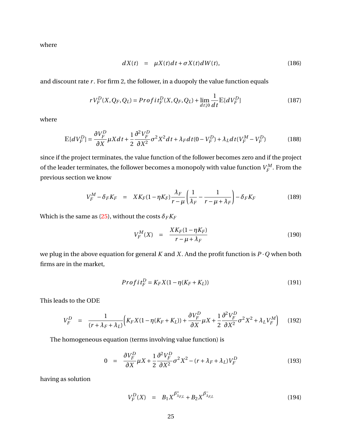where

$$
dX(t) = \mu X(t)dt + \sigma X(t)dW(t), \qquad (186)
$$

and discount rate *r* . For firm 2, the follower, in a duopoly the value function equals

$$
rV_F^D(X, Q_F, Q_L) = \text{Profit}_F^D(X, Q_F, Q_L) + \lim_{dt \downarrow 0} \frac{1}{dt} \mathbb{E}[dV_F^D] \tag{187}
$$

where

$$
\mathbb{E}[dV_F^D] = \frac{\partial V_F^D}{\partial X} \mu X dt + \frac{1}{2} \frac{\partial^2 V_F^D}{\partial X^2} \sigma^2 X^2 dt + \lambda_F dt (0 - V_F^D) + \lambda_L dt (V_F^M - V_F^D)
$$
(188)

since if the project terminates, the value function of the follower becomes zero and if the project of the leader terminates, the follower becomes a monopoly with value function  $V_{F}^{M}$  $T_F^M$ . From the previous section we know

$$
V_F^M - \delta_F K_F = X K_F (1 - \eta K_F) \frac{\lambda_F}{r - \mu} \left( \frac{1}{\lambda_F} - \frac{1}{r - \mu + \lambda_F} \right) - \delta_F K_F
$$
(189)

Which is the same as [\(25\)](#page-5-0), without the costs  $\delta_F K_F$ 

$$
V_F^M(X) = \frac{XK_F(1 - \eta K_F)}{r - \mu + \lambda_F} \tag{190}
$$

we plug in the above equation for general *K* and *X*. And the profit function is *P* ·*Q* when both firms are in the market,

$$
Profit_F^D = K_F X (1 - \eta (K_F + K_L))
$$
\n(191)

This leads to the ODE

$$
V_F^D = \frac{1}{(r + \lambda_F + \lambda_L)} \Big( K_F X (1 - \eta (K_F + K_L)) + \frac{\partial V_F^D}{\partial X} \mu X + \frac{1}{2} \frac{\partial^2 V_F^D}{\partial X^2} \sigma^2 X^2 + \lambda_L V_F^M \Big) \tag{192}
$$

The homogeneous equation (terms involving value function) is

$$
0 = \frac{\partial V_F^D}{\partial X} \mu X + \frac{1}{2} \frac{\partial^2 V_F^D}{\partial X^2} \sigma^2 X^2 - (r + \lambda_F + \lambda_L) V_F^D \tag{193}
$$

having as solution

$$
V_F^D(X) = B_1 X^{\beta^+_{\lambda_{F,L}}} + B_2 X^{\beta^-_{\lambda_{F,L}}} \tag{194}
$$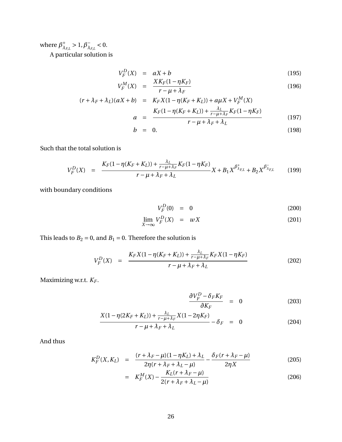where  $\beta_{\lambda}^{+}$ <sup>+</sup><sub> $λ$ *F,L*</sub>  $> 1, β$ <sup> $-$ </sup><sub> $λ$ </sub>  $\frac{1}{\lambda_{F,L}}$  < 0.

A particular solution is

$$
V_F^D(X) = aX + b \tag{195}
$$

$$
V_F^M(X) = \frac{X K_F (1 - \eta K_F)}{r - \mu + \lambda_F} \tag{196}
$$

$$
(r + \lambda_F + \lambda_L)(aX + b) = K_F X (1 - \eta (K_F + K_L)) + a\mu X + V_F^M(X)
$$
  

$$
a = \frac{K_F (1 - \eta (K_F + K_L)) + \frac{\lambda_L}{r - \mu + \lambda_F} K_F (1 - \eta K_F)}{r - \mu + \lambda_F + \lambda_L}
$$
(197)

$$
b = 0. \t(198)
$$

Such that the total solution is

$$
V_F^D(X) = \frac{K_F(1 - \eta(K_F + K_L)) + \frac{\lambda_L}{r - \mu + \lambda_F} K_F(1 - \eta K_F)}{r - \mu + \lambda_F + \lambda_L} X + B_1 X^{\beta^+}_{\lambda_{FL}} + B_2 X^{\beta^-}_{\lambda_{FL}} \qquad (199)
$$

with boundary conditions

$$
V_F^D(0) = 0 \t\t(200)
$$

$$
\lim_{X \to \infty} V_F^D(X) = wX \tag{201}
$$

This leads to  $B_2 = 0$ , and  $B_1 = 0$ . Therefore the solution is

$$
V_F^D(X) = \frac{K_F X (1 - \eta (K_F + K_L)) + \frac{\lambda_L}{r - \mu + \lambda_F} K_F X (1 - \eta K_F)}{r - \mu + \lambda_F + \lambda_L}
$$
(202)

Maximizing w.r.t. *K<sup>F</sup>* .

$$
\frac{\partial V_F^D - \delta_F K_F}{\partial K_F} = 0 \tag{203}
$$

$$
\frac{X(1 - \eta(2K_F + K_L)) + \frac{\lambda_L}{r - \mu + \lambda_F}X(1 - 2\eta K_F)}{r - \mu + \lambda_F + \lambda_L} - \delta_F = 0
$$
 (204)

And thus

<span id="page-25-0"></span>
$$
K_F^D(X, K_L) = \frac{(r + \lambda_F - \mu)(1 - \eta K_L) + \lambda_L}{2\eta (r + \lambda_F + \lambda_L - \mu)} - \frac{\delta_F(r + \lambda_F - \mu)}{2\eta X}
$$
(205)

$$
= K_F^M(X) - \frac{K_L(r + \lambda_F - \mu)}{2(r + \lambda_F + \lambda_L - \mu)}
$$
(206)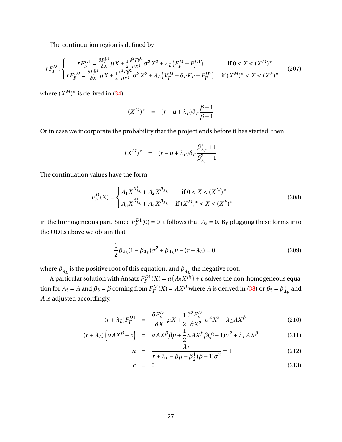The continuation region is defined by

$$
rF_F^D:\begin{cases} rF_F^{D1} = \frac{\partial F_F^{D1}}{\partial X} \mu X + \frac{1}{2} \frac{\partial^2 F_F^{D1}}{\partial X^2} \sigma^2 X^2 + \lambda_L \left( F_F^M - F_F^{D1} \right) & \text{if } 0 < X < (X^M)^*\\ rF_F^{D2} = \frac{\partial F_F^{D2}}{\partial X} \mu X + \frac{1}{2} \frac{\partial^2 F_F^{D2}}{\partial X^2} \sigma^2 X^2 + \lambda_L \left( V_F^M - \delta_F K_F - F_F^{D2} \right) & \text{if } (X^M)^* < X < (X^F)^* \end{cases} \tag{207}
$$

where  $(X^M)^*$  is derived in [\(34\)](#page-6-0)

$$
(X^M)^* = (r - \mu + \lambda_F) \delta_F \frac{\beta + 1}{\beta - 1}
$$

Or in case we incorporate the probability that the project ends before it has started, then

$$
(X^M)^* = (r - \mu + \lambda_F) \delta_F \frac{\beta_{\lambda_F}^+ + 1}{\beta_{\lambda_F}^2 - 1}
$$

The continuation values have the form

$$
F_F^D(X) = \begin{cases} A_1 X^{\beta_{\lambda_L}^+} + A_2 X^{\beta_{\lambda_L}^-} & \text{if } 0 < X < (X^M)^*\\ A_3 X^{\beta_{\lambda_L}^+} + A_4 X^{\beta_{\lambda_L}^-} & \text{if } (X^M)^* < X < (X^F)^* \end{cases} \tag{208}
$$

in the homogeneous part. Since  $F^{D1}_F$  $F_F^{D1}(0) = 0$  it follows that  $A_2 = 0$ . By plugging these forms into the ODEs above we obtain that

<span id="page-26-0"></span>
$$
\frac{1}{2}\beta_{\lambda_L}(1-\beta_{\lambda_L})\sigma^2 + \beta_{\lambda_L}\mu - (r+\lambda_L) = 0, \qquad (209)
$$

where  $\beta_{\lambda}^{+}$  $\chi^+_{\lambda_L}$  is the positive root of this equation, and  $\beta_{\lambda_L}^ \bar{\lambda}_L$  the negative root.

A particular solution with Ansatz  $F^{D1}_F$  $F_F^{D1}(X) = a(A_5X^{\beta_5}) + c$  solves the non-homogeneous equation for  $A_5 = A$  and  $\beta_5 = \beta$  coming from  $F_F^M$  $F_F^M(X) = AX^\beta$  where *A* is derived in [\(38\)](#page-6-1) or  $\beta_5 = \beta_{\lambda}^+$  $\frac{1}{\lambda_F}$  and *A* is adjusted accordingly.

$$
(r + \lambda_L)F_F^{D1} = \frac{\partial F_F^{D1}}{\partial X}\mu X + \frac{1}{2}\frac{\partial^2 F_F^{D1}}{\partial X^2}\sigma^2 X^2 + \lambda_L A X^{\beta}
$$
(210)

$$
(r + \lambda_L) \left( a A X^{\beta} + c \right) = a A X^{\beta} \beta \mu + \frac{1}{2} a A X^{\beta} \beta (\beta - 1) \sigma^2 + \lambda_L A X^{\beta}
$$
 (211)

$$
a = \frac{\lambda_L}{r + \lambda_L - \beta \mu - \beta \frac{1}{2} (\beta - 1) \sigma^2} = 1
$$
 (212)

$$
c = 0 \tag{213}
$$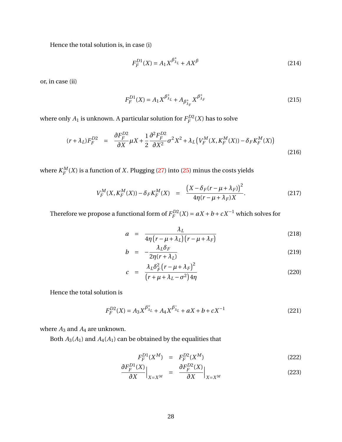Hence the total solution is, in case (i)

<span id="page-27-0"></span>
$$
F_F^{D1}(X) = A_1 X^{\beta_{\lambda_L}^+} + A X^{\beta}
$$
\n(214)

or, in case (ii)

<span id="page-27-1"></span>
$$
F_F^{D1}(X) = A_1 X^{\beta_{\lambda_L}^+} + A_{\beta_{\lambda_F}^+} X^{\beta_{\lambda_F}^+}
$$
\n(215)

where only  $A_1$  is unknown. A particular solution for  $F_F^{D2}$  $E_F^{D2}(X)$  has to solve

$$
(r + \lambda_L)F_F^{D2} = \frac{\partial F_F^{D2}}{\partial X} \mu X + \frac{1}{2} \frac{\partial^2 F_F^{D2}}{\partial X^2} \sigma^2 X^2 + \lambda_L \left( V_F^M(X, K_F^M(X)) - \delta_F K_F^M(X) \right)
$$
(216)

where  $K_F^M$  $F<sup>M</sup>(X)$  is a function of *X*. Plugging [\(27\)](#page-5-1) into [\(25\)](#page-5-0) minus the costs yields

$$
V_F^M(X, K_F^M(X)) - \delta_F K_F^M(X) = \frac{(X - \delta_F(r - \mu + \lambda_F))^2}{4\eta(r - \mu + \lambda_F)X}.
$$
 (217)

Therefore we propose a functional form of  $F^{D2}_F$  $F_F^{D2}(X) = aX + b + cX^{-1}$  which solves for

$$
a = \frac{\lambda_L}{4\eta (r - \mu + \lambda_L)(r - \mu + \lambda_F)}
$$
(218)

$$
b = -\frac{\lambda_L \delta_F}{2\eta (r + \lambda_L)}\tag{219}
$$

$$
c = \frac{\lambda_L \delta_F^2 \left(r - \mu + \lambda_F\right)^2}{\left(r + \mu + \lambda_L - \sigma^2\right) 4\eta}
$$
\n(220)

Hence the total solution is

$$
F_F^{D2}(X) = A_3 X^{\beta_{\lambda_L}^+} + A_4 X^{\beta_{\lambda_L}^-} + aX + b + cX^{-1}
$$
\n(221)

where  $A_3$  and  $A_4$  are unknown.

Both  $A_3(A_1)$  and  $A_4(A_1)$  can be obtained by the equalities that

$$
F_F^{D1}(X^M) = F_F^{D2}(X^M) \tag{222}
$$

$$
\frac{\partial F_F^{D1}(X)}{\partial X}\Big|_{X=X^M} = \frac{\partial F_F^{D2}(X)}{\partial X}\Big|_{X=X^M}
$$
(223)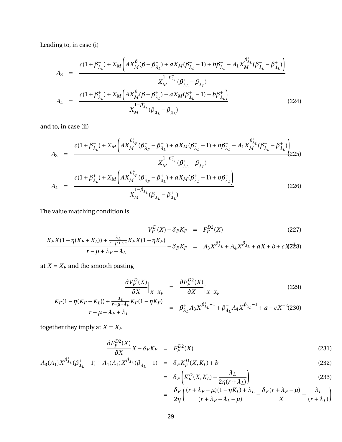Leading to, in case (i)

$$
A_{3} = \frac{c(1+\beta_{\lambda_{L}}^{-})+X_{M}\left(AX_{M}^{\beta}(\beta-\beta_{\lambda_{L}}^{-})+aX_{M}(\beta_{\lambda_{L}}^{-}-1)+b\beta_{\lambda_{L}}^{-}-A_{1}X_{M}^{\beta_{\lambda_{L}}^{+}}(\beta_{\lambda_{L}}^{-}-\beta_{\lambda_{L}}^{+})\right)}{X_{M}^{1-\beta_{\lambda_{L}}^{+}}(\beta_{\lambda_{L}}^{+}-\beta_{\lambda_{L}}^{-})}
$$
\n
$$
A_{4} = \frac{c(1+\beta_{\lambda_{L}}^{+})+X_{M}\left(AX_{M}^{\beta}(\beta-\beta_{\lambda_{L}}^{+})+aX_{M}(\beta_{\lambda_{L}}^{+}-1)+b\beta_{\lambda_{L}}^{+}\right)}{X_{M}^{1-\beta_{\lambda_{L}}^{-}}(\beta_{\lambda_{L}}^{-}-\beta_{\lambda_{L}}^{+})}
$$
\n(224)

and to, in case (ii)

<span id="page-28-0"></span>
$$
A_{3} = \frac{c(1+\beta_{\lambda_{L}}^{+})+X_{M}\left(AX_{M}^{\beta_{\lambda_{F}}^{+}}(\beta_{\lambda_{F}}^{+}-\beta_{\lambda_{L}}^{-})+aX_{M}(\beta_{\lambda_{L}}^{-}-1)+b\beta_{\lambda_{L}}^{-}-A_{1}X_{M}^{\beta_{\lambda_{L}}^{+}}(\beta_{\lambda_{L}}^{-}-\beta_{\lambda_{L}}^{+})\right)}{X_{M}^{1-\beta_{\lambda_{L}}^{+}}(\beta_{\lambda_{L}}^{+}-\beta_{\lambda_{L}}^{-})}
$$
\n
$$
A_{4} = \frac{c(1+\beta_{\lambda_{L}}^{+})+X_{M}\left(AX_{M}^{\beta_{\lambda_{F}}^{+}}(\beta_{\lambda_{F}}^{+}-\beta_{\lambda_{L}}^{+})+aX_{M}(\beta_{\lambda_{L}}^{+}-1)+b\beta_{\lambda_{L}}^{+}\right)}{X_{M}^{1-\beta_{\lambda_{L}}}(\beta_{\lambda_{L}}^{-}-\beta_{\lambda_{L}}^{+})}
$$
\n
$$
(226)
$$

The value matching condition is

$$
V_F^D(X) - \delta_F K_F = F_F^{D2}(X) \tag{227}
$$

$$
\frac{K_F X (1 - \eta (K_F + K_L)) + \frac{\lambda_L}{r - \mu + \lambda_F} K_F X (1 - \eta K_F)}{r - \mu + \lambda_F + \lambda_L} - \delta_F K_F = A_3 X^{\beta_{\lambda_L}^+} + A_4 X^{\beta_{\lambda_L}^-} + a X + b + c X 228
$$

at  $X = X_F$  and the smooth pasting

$$
\frac{\partial V_F^D(X)}{\partial X}\Big|_{X=X_F} = \frac{\partial F_F^{D2}(X)}{\partial X}\Big|_{X=X_F}
$$
(229)

$$
\frac{K_F(1 - \eta(K_F + K_L)) + \frac{\lambda_L}{r - \mu + \lambda_F} K_F(1 - \eta K_F)}{r - \mu + \lambda_F + \lambda_L} = \beta_{\lambda_L}^+ A_3 X^{\beta_{\lambda_L}^+ - 1} + \beta_{\lambda_L}^- A_4 X^{\beta_{\lambda_L}^- - 1} + a - c X^{-2} (230)
$$

together they imply at  $X = X_F$ 

$$
\frac{\partial F_F^{D2}(X)}{\partial X}X - \delta_F K_F = F_F^{D2}(X) \tag{231}
$$

$$
A_3(A_1)X^{\beta^+_{\lambda_L}}(\beta^+_{\lambda_L}-1) + A_4(A_1)X^{\beta^-_{\lambda_L}}(\beta^-_{\lambda_L}-1) = \delta_F K^D_F(X, K_L) + b \tag{232}
$$

$$
= \delta_F \left( K_F^D(X, K_L) - \frac{\lambda_L}{2\eta (r + \lambda_L)} \right) \tag{233}
$$

$$
= \frac{\delta_F}{2\eta} \left( \frac{(r + \lambda_F - \mu)(1 - \eta K_L) + \lambda_L}{(r + \lambda_F + \lambda_L - \mu)} - \frac{\delta_F(r + \lambda_F - \mu)}{X} - \frac{\lambda_L}{(r + \lambda_L)} \right)
$$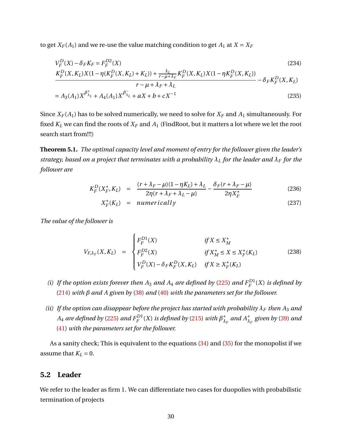to get  $X_F(A_1)$  and we re-use the value matching condition to get  $A_1$  at  $X = X_F$ 

$$
V_F^D(X) - \delta_F K_F = F_F^{D2}(X)
$$
\n
$$
K_F^D(X, K_L)X(1 - \eta(K_F^D(X, K_L) + K_L)) + \frac{\lambda_L}{r - \mu + \lambda_F} K_F^D(X, K_L)X(1 - \eta K_F^D(X, K_L))
$$
\n
$$
s \sim V^D(X, K_L)X(1 - \eta(K_F^D(X, K_L) + K_L)) + \frac{\lambda_L}{r - \mu + \lambda_F} K_F^D(X, K_L)X(1 - \eta(K_F^D(X, K_L))
$$
\n
$$
V^D(X, K_L)X(1 - \eta(K_F^D(X, K_L) + K_L)) + \frac{\lambda_L}{r - \mu + \lambda_F} K_F^D(X, K_L)X(1 - \eta(K_F^D(X, K_L))
$$
\n
$$
V^D(X, K_L)X(1 - \eta(K_F^D(X, K_L) + K_L)) + \frac{\lambda_L}{r - \mu + \lambda_F} K_F^D(X, K_L)X(1 - \eta(K_F^D(X, K_L))
$$
\n
$$
V^D(X, K_L)X(1 - \eta(K_F^D(X, K_L) + K_L)) + \frac{\lambda_L}{r - \mu + \lambda_F} K_F^D(X, K_L)X(1 - \eta(K_F^D(X, K_L))
$$

$$
\frac{r}{r} + \frac{r}{r} + \frac{r}{r} + \frac{r}{r} + \frac{r}{r} + \frac{r}{r} + \frac{r}{r} + \frac{r}{r} + \frac{r}{r} + \frac{r}{r} + \frac{r}{r} + \frac{r}{r} + \frac{r}{r} + \frac{r}{r} + \frac{r}{r} + \frac{r}{r} + \frac{r}{r} + \frac{r}{r} + \frac{r}{r} + \frac{r}{r} + \frac{r}{r} + \frac{r}{r} + \frac{r}{r} + \frac{r}{r} + \frac{r}{r} + \frac{r}{r} + \frac{r}{r} + \frac{r}{r} + \frac{r}{r} + \frac{r}{r} + \frac{r}{r} + \frac{r}{r} + \frac{r}{r} + \frac{r}{r} + \frac{r}{r} + \frac{r}{r} + \frac{r}{r} + \frac{r}{r} + \frac{r}{r} + \frac{r}{r} + \frac{r}{r} + \frac{r}{r} + \frac{r}{r} + \frac{r}{r} + \frac{r}{r} + \frac{r}{r} + \frac{r}{r} + \frac{r}{r} + \frac{r}{r} + \frac{r}{r} + \frac{r}{r} + \frac{r}{r} + \frac{r}{r} + \frac{r}{r} + \frac{r}{r} + \frac{r}{r} + \frac{r}{r} + \frac{r}{r} + \frac{r}{r} + \frac{r}{r} + \frac{r}{r} + \frac{r}{r} + \frac{r}{r} + \frac{r}{r} + \frac{r}{r} + \frac{r}{r} + \frac{r}{r} + \frac{r}{r} + \frac{r}{r} + \frac{r}{r} + \frac{r}{r} + \frac{r}{r} + \frac{r}{r} + \frac{r}{r} + \frac{r}{r} + \frac{r}{r} + \frac{r}{r} + \frac{r}{r} + \frac{r}{r} + \frac{r}{r} + \frac{r}{r} + \frac{r}{r} + \frac{r}{r} + \frac{r}{r} + \frac{r}{r} + \frac{r}{r} + \frac{r}{r} + \frac{r}{r} + \frac{r}{r} + \frac{r}{r} + \frac{r}{r} + \frac{r}{r} + \frac{r}{r} + \frac{r}{r} + \frac{r}{r} +
$$

$$
= A_3(A_1)X^{\beta^+_{\lambda_L}} + A_4(A_1)X^{\beta^-_{\lambda_L}} + aX + b + cX^{-1}
$$
\n(235)

Since  $X_F(A_1)$  has to be solved numerically, we need to solve for  $X_F$  and  $A_1$  simultaneously. For fixed  $K_L$  we can find the roots of  $X_F$  and  $A_1$  (FindRoot, but it matters a lot where we let the root search start from!!!)

**Theorem 5.1.** *The optimal capacity level and moment of entry for the follower given the leader's strategy, based on a project that terminates with a probability*  $\lambda_L$  *for the leader and*  $\lambda_F$  *for the follower are*

<span id="page-29-0"></span>
$$
K_F^D(X_F^*, K_L) = \frac{(r + \lambda_F - \mu)(1 - \eta K_L) + \lambda_L}{2\eta(r + \lambda_F + \lambda_L - \mu)} - \frac{\delta_F(r + \lambda_F - \mu)}{2\eta X_F^*}
$$
(236)

$$
X_F^*(K_L) = numerically \t(237)
$$

*The value of the follower is*

$$
V_{F,\lambda_F}(X,K_L) = \begin{cases} F_F^{D1}(X) & \text{if } X \le X_M^* \\ F_F^{D2}(X) & \text{if } X_M^* \le X \le X_F^*(K_L) \\ V_F^D(X) - \delta_F K_F^D(X,K_L) & \text{if } X \ge X_F^*(K_L) \end{cases}
$$
(238)

- *(i)* If the option exists forever then  $A_3$  and  $A_4$  are defined by [\(225\)](#page-28-0) and  $F_F^{D1}$ *F* (*X*) *is defined by* [\(214\)](#page-27-0) *with β and A given by* [\(38\)](#page-6-1) *and* [\(40\)](#page-6-2) *with the parameters set for the follower.*
- *(ii)* If the option can disappear before the project has started with probability  $\lambda_F$  then  $A_3$  and  $A_4$  *are defined by [\(225\)](#page-28-0) and*  $F_F^{D1}(X)$  *is defined by [\(215\)](#page-27-1) with*  $\beta_{\lambda}^{+}$  $\frac{1}{\lambda_F}$  *and*  $A_{\lambda_F}^+$  *given by* [\(39\)](#page-6-1) *and* [\(41\)](#page-7-0) *with the parameters set for the follower.*

As a sanity check; This is equivalent to the equations [\(34\)](#page-6-0) and [\(35\)](#page-6-0) for the monopolist if we assume that  $K_L = 0$ .

## **5.2 Leader**

We refer to the leader as firm 1. We can differentiate two cases for duopolies with probabilistic termination of projects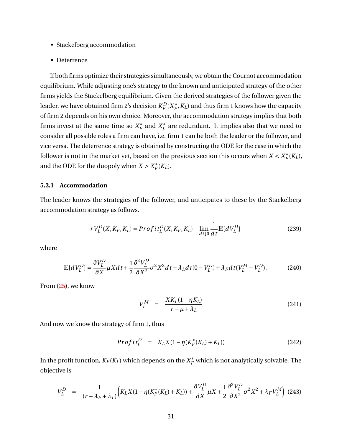- Stackelberg accommodation
- Deterrence

If both firms optimize their strategies simultaneously, we obtain the Cournot accommodation equilibrium. While adjusting one's strategy to the known and anticipated strategy of the other firms yields the Stackelberg equilibrium. Given the derived strategies of the follower given the leader, we have obtained firm 2's decision  $K_{\!\scriptscriptstyle F}^D$ *F* (*X* ∗  $_{F}^{*}$ ,  $K_{L}$ ) and thus firm 1 knows how the capacity of firm 2 depends on his own choice. Moreover, the accommodation strategy implies that both firms invest at the same time so  $X_F^*$  $\overline{F}$ <sup>\*</sup> and  $X_L^*$  $L<sub>L</sub><sup>*</sup>$  are redundant. It implies also that we need to consider all possible roles a firm can have, i.e. firm 1 can be both the leader or the follower, and vice versa. The deterrence strategy is obtained by constructing the ODE for the case in which the follower is not in the market yet, based on the previous section this occurs when  $X < X_F^*$  ${}_{F}^{*}(K_{L}),$ and the ODE for the duopoly when  $X > X_F^*$  $i_F^*(K_L)$ .

#### **5.2.1 Accommodation**

The leader knows the strategies of the follower, and anticipates to these by the Stackelberg accommodation strategy as follows.

$$
rV_L^D(X, K_F, K_L) = Profit_L^D(X, K_F, K_L) + \lim_{d \downarrow 0} \frac{1}{dt} \mathbb{E}[dV_L^D]
$$
\n(239)

where

$$
\mathbb{E}[dV_L^D] = \frac{\partial V_L^D}{\partial X} \mu X dt + \frac{1}{2} \frac{\partial^2 V_L^D}{\partial X^2} \sigma^2 X^2 dt + \lambda_L dt (0 - V_L^D) + \lambda_F dt (V_L^M - V_L^D). \tag{240}
$$

From [\(25\)](#page-5-0), we know

$$
V_L^M = \frac{X K_L (1 - \eta K_L)}{r - \mu + \lambda_L} \tag{241}
$$

And now we know the strategy of firm 1, thus

$$
Profit_{L}^{D} = K_{L}X(1 - \eta(K_{F}^{*}(K_{L}) + K_{L}))
$$
\n(242)

In the profit function,  $K_F(K_L)$  which depends on the  $X_F^\ast$  which is not analytically solvable. The objective is

$$
V_L^D = \frac{1}{(r + \lambda_F + \lambda_L)} \Big( K_L X (1 - \eta (K_F^*(K_L) + K_L)) + \frac{\partial V_L^D}{\partial X} \mu X + \frac{1}{2} \frac{\partial^2 V_L^D}{\partial X^2} \sigma^2 X^2 + \lambda_F V_L^M \Big) (243)
$$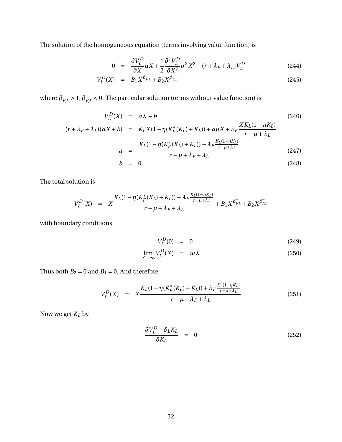The solution of the homogeneous equation (terms involving value function) is

$$
0 = \frac{\partial V_L^D}{\partial X} \mu X + \frac{1}{2} \frac{\partial^2 V_L^D}{\partial X^2} \sigma^2 X^2 - (r + \lambda_F + \lambda_L) V_L^D \tag{244}
$$

$$
V_L^D(X) = B_1 X^{\beta_{EL}^+} + B_2 X^{\beta_{EL}^-} \tag{245}
$$

where  $\beta^+_F$  $_{F,L}^+ > 1, \beta_F^ F_{,L}$  < 0. The particular solution (terms without value function) is

$$
V_L^D(X) = aX + b
$$
\n
$$
(r + \lambda_F + \lambda_L)(aX + b) = K_L X(1 - \eta(K_F^*(K_L) + K_L)) + a\mu X + \lambda_F \frac{X K_L (1 - \eta K_L)}{r - \mu + \lambda_L}
$$
\n
$$
a = \frac{K_L (1 - \eta(K_F^*(K_L) + K_L)) + \lambda_F \frac{K_L (1 - \eta K_L)}{r - \mu + \lambda_L}}{r - \mu + \lambda_F + \lambda_L}
$$
\n(247)

$$
b = 0. \t(248)
$$

The total solution is

$$
V_L^D(X) = X \frac{K_L(1 - \eta(K_F^*(K_L) + K_L)) + \lambda_F \frac{K_L(1 - \eta K_L)}{r - \mu + \lambda_L}}{r - \mu + \lambda_F + \lambda_L} + B_1 X^{\beta_{F,L}^+} + B_2 X^{\beta_{F,L}^-}
$$

with boundary conditions

$$
V_L^D(0) = 0 \t\t(249)
$$

$$
\lim_{X \to \infty} V_L^D(X) = wX \tag{250}
$$

Thus both  $B_2 = 0$  and  $B_1 = 0$ . And therefore

$$
V_L^D(X) = X \frac{K_L(1 - \eta(K_F^*(K_L) + K_L)) + \lambda_F \frac{K_L(1 - \eta K_L)}{r - \mu + \lambda_L}}{r - \mu + \lambda_F + \lambda_L}
$$
(251)

Now we get *K<sup>L</sup>* by

$$
\frac{\partial V_L^D - \delta_L K_L}{\partial K_L} = 0 \tag{252}
$$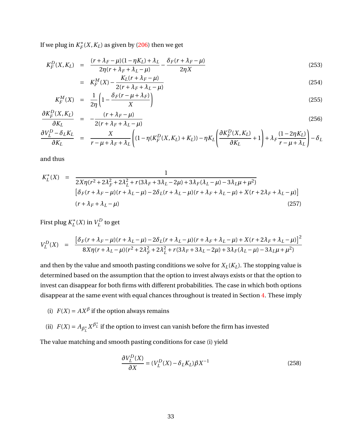If we plug in  $K_F^*$  $F_F^*(X, K_L)$  as given by [\(206\)](#page-25-0) then we get

$$
K_F^D(X, K_L) = \frac{(r + \lambda_F - \mu)(1 - \eta K_L) + \lambda_L}{2\eta(r + \lambda_F + \lambda_L - \mu)} - \frac{\delta_F(r + \lambda_F - \mu)}{2\eta X}
$$
(253)

$$
= K_F^M(X) - \frac{K_L(r + \lambda_F - \mu)}{2(r + \lambda_F + \lambda_L - \mu)}
$$
(254)

$$
K_F^M(X) = \frac{1}{2\eta} \left( 1 - \frac{\delta_F(r - \mu + \lambda_F)}{X} \right) \tag{255}
$$

$$
\frac{\partial K_F^D(X, K_L)}{\partial K_L} = -\frac{(r + \lambda_F - \mu)}{2(r + \lambda_F + \lambda_L - \mu)}\tag{256}
$$

$$
\frac{\partial V_L^D - \delta_L K_L}{\partial K_L} = \frac{X}{r - \mu + \lambda_F + \lambda_L} \left( (1 - \eta (K_F^D(X, K_L) + K_L)) - \eta K_L \left( \frac{\partial K_F^D(X, K_L)}{\partial K_L} + 1 \right) + \lambda_F \frac{(1 - 2\eta K_L)}{r - \mu + \lambda_L} \right) - \delta_L
$$

and thus

$$
K_L^*(X) = \frac{1}{2X\eta(r^2 + 2\lambda_F^2 + 2\lambda_L^2 + r(3\lambda_F + 3\lambda_L - 2\mu) + 3\lambda_F(\lambda_L - \mu) - 3\lambda_L\mu + \mu^2)}
$$
  
\n
$$
[\delta_F(r + \lambda_F - \mu)(r + \lambda_L - \mu) - 2\delta_L(r + \lambda_L - \mu)(r + \lambda_F + \lambda_L - \mu) + X(r + 2\lambda_F + \lambda_L - \mu)]
$$
  
\n
$$
(r + \lambda_F + \lambda_L - \mu)
$$
\n(257)

First plug *K* ∗  $L^*(X)$  in  $V^D_L$  $L^L$  to get

$$
V_L^D(X) = \frac{\left[\delta_F(r + \lambda_F - \mu)(r + \lambda_L - \mu) - 2\delta_L(r + \lambda_L - \mu)(r + \lambda_F + \lambda_L - \mu) + X(r + 2\lambda_F + \lambda_L - \mu)\right]^2}{8X\eta(r + \lambda_L - \mu)(r^2 + 2\lambda_F^2 + 2\lambda_L^2 + r(3\lambda_F + 3\lambda_L - 2\mu) + 3\lambda_F(\lambda_L - \mu) - 3\lambda_L\mu + \mu^2)}
$$

and then by the value and smooth pasting conditions we solve for  $X_L(K_L)$ . The stopping value is determined based on the assumption that the option to invest always exists or that the option to invest can disappear for both firms with different probabilities. The case in which both options disappear at the same event with equal chances throughout is treated in Section [4.](#page-10-0) These imply

- (i)  $F(X) = AX^{\beta}$  if the option always remains
- (ii)  $F(X) = A_{\beta_L^+} X^{\beta_L^+}$  if the option to invest can vanish before the firm has invested

The value matching and smooth pasting conditions for case (i) yield

$$
\frac{\partial V_L^D(X)}{\partial X} = (V_L^D(X) - \delta_L K_L) \beta X^{-1}
$$
\n(258)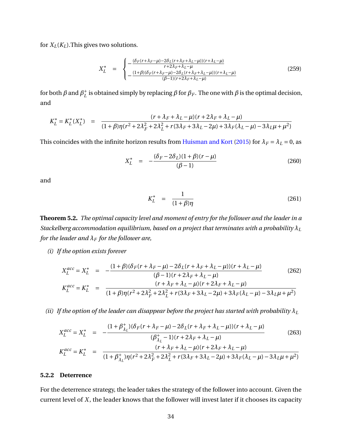<span id="page-33-0"></span>for  $X_L(K_L)$ . This gives two solutions.

$$
X_L^* = \begin{cases} -\frac{(\delta_F(r + \lambda_F - \mu) - 2\delta_L(r + \lambda_F + \lambda_L - \mu))(r + \lambda_L - \mu)}{r + 2\lambda_F + \lambda_L - \mu} \\ -\frac{(1 + \beta)(\delta_F(r + \lambda_F - \mu) - 2\delta_L(r + \lambda_F + \lambda_L - \mu))(r + \lambda_L - \mu)}{(\beta - 1)(r + 2\lambda_F + \lambda_L - \mu)} \end{cases} (259)
$$

for both  $\beta$  and  $\beta_I^+$  $^+_L$  is obtained simply by replacing  $\beta$  for  $\beta_F$ . The one with  $\beta$  is the optimal decision, and

$$
K_L^* = K_L^*(X_L^*) = \frac{(r + \lambda_F + \lambda_L - \mu)(r + 2\lambda_F + \lambda_L - \mu)}{(1 + \beta)\eta(r^2 + 2\lambda_F^2 + 2\lambda_L^2 + r(3\lambda_F + 3\lambda_L - 2\mu) + 3\lambda_F(\lambda_L - \mu) - 3\lambda_L\mu + \mu^2)}
$$

This coincides with the infinite horizon results from [Huisman and Kort](#page-38-4) [\(2015\)](#page-38-4) for  $\lambda_F = \lambda_L = 0$ , as

$$
X_L^* = -\frac{(\delta_F - 2\delta_L)(1+\beta)(r-\mu)}{(\beta - 1)}
$$
(260)

and

$$
K_L^* = \frac{1}{(1+\beta)\eta} \tag{261}
$$

**Theorem 5.2.** *The optimal capacity level and moment of entry for the follower and the leader in a Stackelberg accommodation equilibrium, based on a project that terminates with a probability λ<sup>L</sup> for the leader and*  $\lambda_F$  *for the follower are,* 

*(i) If the option exists forever*

$$
X_L^{acc} = X_L^* = -\frac{(1+\beta)(\delta_F(r+\lambda_F-\mu)-2\delta_L(r+\lambda_F+\lambda_L-\mu))(r+\lambda_L-\mu)}{(\beta-1)(r+2\lambda_F+\lambda_L-\mu)}
$$
(262)  

$$
K_L^{acc} = K_L^* = \frac{(r+\lambda_F+\lambda_L-\mu)(r+2\lambda_F+\lambda_L-\mu)}{(1+\beta)\eta(r^2+2\lambda_F^2+2\lambda_L^2+r(3\lambda_F+3\lambda_L-2\mu)+3\lambda_F(\lambda_L-\mu)-3\lambda_L\mu+\mu^2)}
$$

*(ii)* If the option of the leader can disappear before the project has started with probability  $\lambda_L$ 

$$
X_L^{acc} = X_L^* = -\frac{(1 + \beta_{\lambda_L}^+)(\delta_F(r + \lambda_F - \mu) - 2\delta_L(r + \lambda_F + \lambda_L - \mu))(r + \lambda_L - \mu)}{(\beta_{\lambda_L}^+ - 1)(r + 2\lambda_F + \lambda_L - \mu)}
$$
(263)  

$$
K_L^{acc} = K_L^* = \frac{(r + \lambda_F + \lambda_L - \mu)(r + 2\lambda_F + \lambda_L - \mu)}{(1 + \beta_{\lambda_L}^+) \eta(r^2 + 2\lambda_F^2 + 2\lambda_L^2 + r(3\lambda_F + 3\lambda_L - 2\mu) + 3\lambda_F(\lambda_L - \mu) - 3\lambda_L\mu + \mu^2)}
$$

#### **5.2.2 Deterrence**

For the deterrence strategy, the leader takes the strategy of the follower into account. Given the current level of *X*, the leader knows that the follower will invest later if it chooses its capacity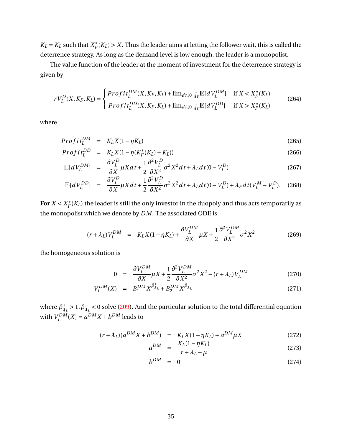$K_L = K_L$  such that  $X_F^*$  $F_F^*(K_L) > X$ . Thus the leader aims at letting the follower wait, this is called the deterrence strategy. As long as the demand level is low enough, the leader is a monopolist.

The value function of the leader at the moment of investment for the deterrence strategy is given by

$$
rV_L^D(X, K_F, K_L) = \begin{cases} \n\text{Profit}_L^{DM}(X, K_F, K_L) + \lim_{dt \downarrow 0} \frac{1}{dt} \mathbb{E}[dV_L^{DM}] & \text{if } X < X_F^*(K_L) \\ \n\text{Profit}_L^{DD}(X, K_F, K_L) + \lim_{dt \downarrow 0} \frac{1}{dt} \mathbb{E}[dV_L^{DD}] & \text{if } X > X_F^*(K_L) \n\end{cases} \tag{264}
$$

where

$$
Profit_L^{DM} = K_L X (1 - \eta K_L) \tag{265}
$$

$$
Profit_{L}^{DD} = K_{L}X(1 - \eta(K_{F}^{*}(K_{L}) + K_{L}))
$$
\n(266)

$$
\mathbb{E}[dV_L^{DM}] = \frac{\partial V_L^D}{\partial X} \mu X dt + \frac{1}{2} \frac{\partial^2 V_L^D}{\partial X^2} \sigma^2 X^2 dt + \lambda_L dt (0 - V_L^D)
$$
(267)

$$
\mathbb{E}[dV_L^{DD}] = \frac{\partial V_L^D}{\partial X} \mu X dt + \frac{1}{2} \frac{\partial^2 V_L^D}{\partial X^2} \sigma^2 X^2 dt + \lambda_L dt (0 - V_L^D) + \lambda_F dt (V_L^M - V_L^D). \quad (268)
$$

For  $X < X_F^*$  $\mathcal{F}_{F}^*(K_L)$  the leader is still the only investor in the duopoly and thus acts temporarily as the monopolist which we denote by *DM*. The associated ODE is

$$
(r + \lambda_L) V_L^{DM} = K_L X (1 - \eta K_L) + \frac{\partial V_L^{DM}}{\partial X} \mu X + \frac{1}{2} \frac{\partial^2 V_L^{DM}}{\partial X^2} \sigma^2 X^2
$$
 (269)

the homogeneous solution is

$$
0 = \frac{\partial V_L^{DM}}{\partial X} \mu X + \frac{1}{2} \frac{\partial^2 V_L^{DM}}{\partial X^2} \sigma^2 X^2 - (r + \lambda_L) V_L^{DM}
$$
 (270)

$$
V_L^{DM}(X) = B_1^{DM} X^{\beta_{\lambda_L}^{+}} + B_2^{DM} X^{\beta_{\lambda_L}^{-}} \tag{271}
$$

where  $\beta_{\lambda}^{+}$  $\lambda_L^+ > 1, \beta_{\lambda_L}^ \bar{\lambda}_L$  < 0 solve [\(209\)](#page-26-0). And the particular solution to the total differential equation with  $V_I^{DM}$  $L^{DM}(X) = a^{DM}X + b^{DM}$  leads to

$$
(r + \lambda_L)(a^{DM}X + b^{DM}) = K_L X (1 - \eta K_L) + a^{DM} \mu X
$$
 (272)

$$
a^{DM} = \frac{K_L(1 - \eta K_L)}{r + \lambda_L - \mu}
$$
 (273)

$$
b^{DM} = 0 \tag{274}
$$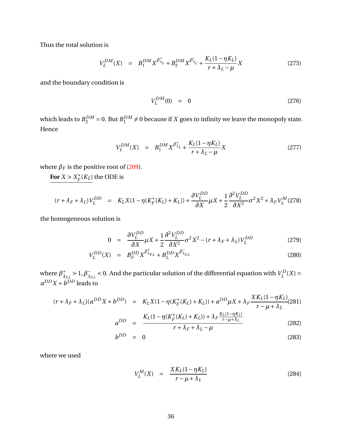Thus the total solution is

$$
V_L^{DM}(X) = B_1^{DM} X^{\beta_{\lambda_L}^+} + B_2^{DM} X^{\beta_{\lambda_L}^-} + \frac{K_L (1 - \eta K_L)}{r + \lambda_L - \mu} X
$$
 (275)

and the boundary condition is

$$
V_L^{DM}(0) = 0 \t\t(276)
$$

which leads to  $B_2^{DM} = 0$ . But  $B_1^{DM}$  $_{1}^{DM} \neq 0$  because if *X* goes to infinity we leave the monopoly state. Hence

$$
V_L^{DM}(X) = B_1^{DM} X^{\beta_{\lambda_L}^+} + \frac{K_L (1 - \eta K_L)}{r + \lambda_L - \mu} X
$$
 (277)

where  $\beta_F$  is the positive root of [\(209\)](#page-26-0).

For  $X > X_F^*$  $\int_F^*(K_L)$  the ODE is

$$
(r + \lambda_F + \lambda_L) V_L^{DD} = K_L X (1 - \eta (K_F^*(K_L) + K_L)) + \frac{\partial V_L^{DD}}{\partial X} \mu X + \frac{1}{2} \frac{\partial^2 V_L^{DD}}{\partial X^2} \sigma^2 X^2 + \lambda_F V_L^M (278)
$$

the homogeneous solution is

$$
0 = \frac{\partial V_L^{DD}}{\partial X} \mu X + \frac{1}{2} \frac{\partial^2 V_L^{DD}}{\partial X^2} \sigma^2 X^2 - (r + \lambda_F + \lambda_L) V_L^{DD}
$$
(279)

$$
V_L^{DD}(X) = B_F^{DD} X^{\beta^+_{\lambda_{F,L}}} + B_L^{DD} X^{\beta^-_{\lambda_{F,L}}} \tag{280}
$$

where  $\beta_{\lambda}^{+}$ <sup>+</sup><sub> $λ$ *F,L*</sub> > 1,  $β$ <sub> $λ$ </sub><sup>-</sup>  $\lambda_{EL}$  < 0. And the particular solution of the differential equation with  $V_L^D$  $L^{D}(X) =$  $a^{DD}X + b^{DD}$  leads to

$$
(r + \lambda_F + \lambda_L)(a^{DD}X + b^{DD}) = K_L X(1 - \eta(K_F^*(K_L) + K_L)) + a^{DD}\mu X + \lambda_F \frac{X K_L (1 - \eta K_L)}{r - \mu + \lambda_L} (281)
$$

$$
a^{DD} = \frac{K_L (1 - \eta(K_F^*(K_L) + K_L)) + \lambda_F \frac{K_L (1 - \eta K_L)}{r - \mu + \lambda_L}}{r + \lambda_F + \lambda_L - \mu}
$$
(282)

$$
b^{DD} = 0 \tag{283}
$$

where we used

$$
V_L^M(X) = \frac{XK_L(1 - \eta K_L)}{r - \mu + \lambda_L} \tag{284}
$$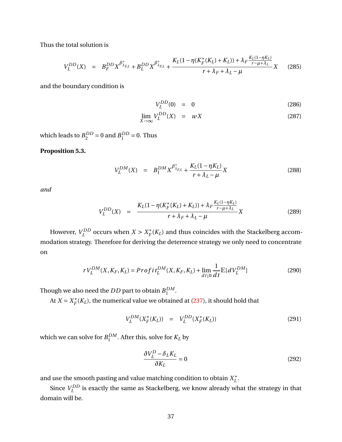Thus the total solution is

$$
V_L^{DD}(X) = B_F^{DD} X^{\beta_{\lambda_{F,L}}^{+}} + B_L^{DD} X^{\beta_{\lambda_{F,L}}^{+}} + \frac{K_L (1 - \eta (K_F^*(K_L) + K_L)) + \lambda_F \frac{K_L (1 - \eta K_L)}{r - \mu + \lambda_L}}{r + \lambda_F + \lambda_L - \mu} X
$$
(285)

and the boundary condition is

$$
V_L^{DD}(0) = 0 \t\t(286)
$$

$$
\lim_{X \to \infty} V_L^{DD}(X) = wX \tag{287}
$$

which leads to  $B_2^{DD} = 0$  and  $B_1^{DD} = 0$ . Thus

#### **Proposition 5.3.**

$$
V_L^{DM}(X) = B_1^{DM} X^{\beta^+_{\lambda_{F,L}}} + \frac{K_L (1 - \eta K_L)}{r + \lambda_L - \mu} X
$$
 (288)

*and*

$$
V_L^{DD}(X) = \frac{K_L(1 - \eta(K_F^*(K_L) + K_L)) + \lambda_F \frac{K_L(1 - \eta K_L)}{r - \mu + \lambda_L}}{r + \lambda_F + \lambda_L - \mu}X
$$
(289)

However,  $V_I^{DD}$  $L^{DD}$  occurs when  $X > X_F^*$  $\mathcal{F}_{F}^{*}(K_{L})$  and thus coincides with the Stackelberg accommodation strategy. Therefore for deriving the deterrence strategy we only need to concentrate on

$$
rV_L^{DM}(X, K_F, K_L) = Profit_L^{DM}(X, K_F, K_L) + \lim_{dt \downarrow 0} \frac{1}{dt} \mathbb{E}[dV_L^{DM}]
$$
\n(290)

Though we also need the  $DD$  part to obtain  $B_1^{DM}$  $\frac{DM}{1}$ .

At  $X = X_F^*$  $\mathcal{F}_{F}^{*}(K_{L})$ , the numerical value we obtained at [\(237\)](#page-29-0), it should hold that

$$
V_L^{DM}(X_F^*(K_L)) = V_L^{DD}(X_F^*(K_L))
$$
\n(291)

which we can solve for  $B_1^{DM}$  $_{1}^{DM}$ . After this, solve for  $K_L$  by

$$
\frac{\partial V_L^D - \delta_L K_L}{\partial K_L} = 0
$$
\n(292)

and use the smooth pasting and value matching condition to obtain  $X_I^*$ *L* .

Since  $V_I^{DD}$  $L_L^{DD}$  is exactly the same as Stackelberg, we know already what the strategy in that domain will be.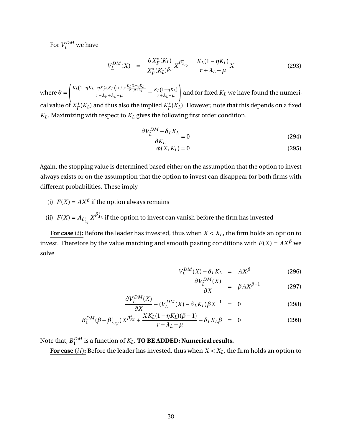For  $V_L^{DM}$  we have

$$
V_L^{DM}(X) = \frac{\theta X_F^*(K_L)}{X_F^*(K_L)^{\beta_F}} X^{\beta_{\lambda_{F,L}}^+} + \frac{K_L(1 - \eta K_L)}{r + \lambda_L - \mu} X
$$
(293)

where  $\theta =$  $\int \frac{K_L(1-\eta K_L-\eta K_F^*(K_L)) + \lambda_F \frac{K_L(1-\eta K_L)}{r-\mu+\lambda_L}}$  $\frac{r\eta K_F^*(K_L)+\lambda_F\frac{r_L}{r-\mu+\lambda_L}}{r+\lambda_L-\mu}-\frac{K_L(1-\eta K_L)}{r+\lambda_L-\mu}$ *r*+*λL*−*µ* ! and for fixed *K<sup>L</sup>* we have found the numerical value of  $X_F^*$  $\chi_F^*(K_L)$  and thus also the implied  $K_F^*$  $\int_F^*(K_L)$ . However, note that this depends on a fixed  $K_L$ . Maximizing with respect to  $K_L$  gives the following first order condition.

$$
\frac{\partial V_L^{DM} - \delta_L K_L}{\partial K_L} = 0
$$
\n(294)

$$
\phi(X, K_L) = 0 \tag{295}
$$

Again, the stopping value is determined based either on the assumption that the option to invest always exists or on the assumption that the option to invest can disappear for both firms with different probabilities. These imply

- (i)  $F(X) = AX^{\beta}$  if the option always remains
- (ii)  $F(X) = A_{\beta_1^+}$  $\lambda_L X^{\beta^+_\lambda}$ *<sup>λ</sup><sup>L</sup>* if the option to invest can vanish before the firm has invested

**For case** (*i*): Before the leader has invested, thus when  $X < X_L$ , the firm holds an option to invest. Therefore by the value matching and smooth pasting conditions with  $F(X) = AX^{\beta}$  we solve

$$
V_L^{DM}(X) - \delta_L K_L = AX^{\beta} \tag{296}
$$

$$
\frac{\partial V_L^{DM}(X)}{\partial X} = \beta A X^{\beta - 1} \tag{297}
$$

$$
\frac{\partial V_L^{DM}(X)}{\partial X} - (V_L^{DM}(X) - \delta_L K_L) \beta X^{-1} = 0 \qquad (298)
$$

$$
B_1^{DM}(\beta - \beta_{\lambda_{FL}}^+) X^{\beta_{FL}^+} + \frac{X K_L (1 - \eta K_L) (\beta - 1)}{r + \lambda_L - \mu} - \delta_L K_L \beta = 0
$$
 (299)

Note that,  $B_1^{DM}$  $\frac{DM}{1}$  is a function of  $K_L$ . **TO BE ADDED: Numerical results.** 

*DM*

For case (*ii*): Before the leader has invested, thus when  $X < X_L$ , the firm holds an option to